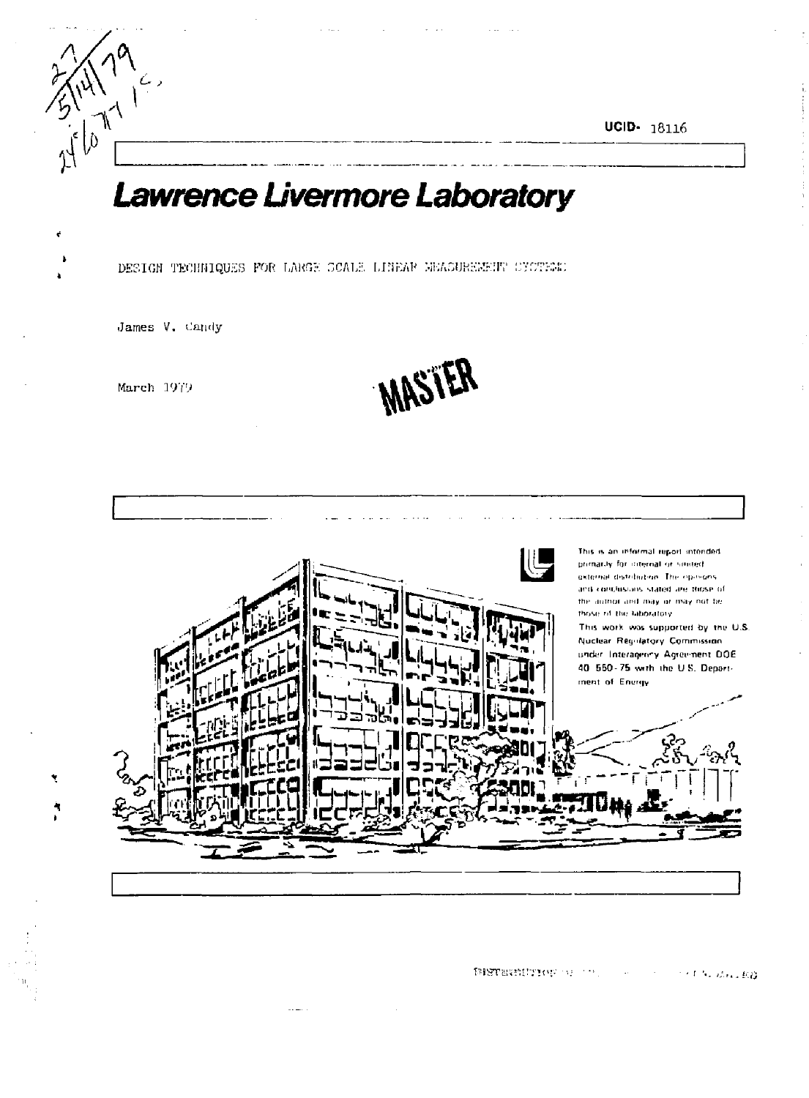UCID- 18116

# Lawrence Livermore Laboratory

DESIGN TECHNIQUES FOR LARGE SCALE LINEAR MEASUREMENT CYCTEMS

James V. Candy

March 1979

 $M_{\rm H}^{\rm (1)2}$ 

 $\int_{0}^{1} \int_{0}^{1}$ 

MASTER



**BISTERNITION** OF THE STA **Committee For Mary ED**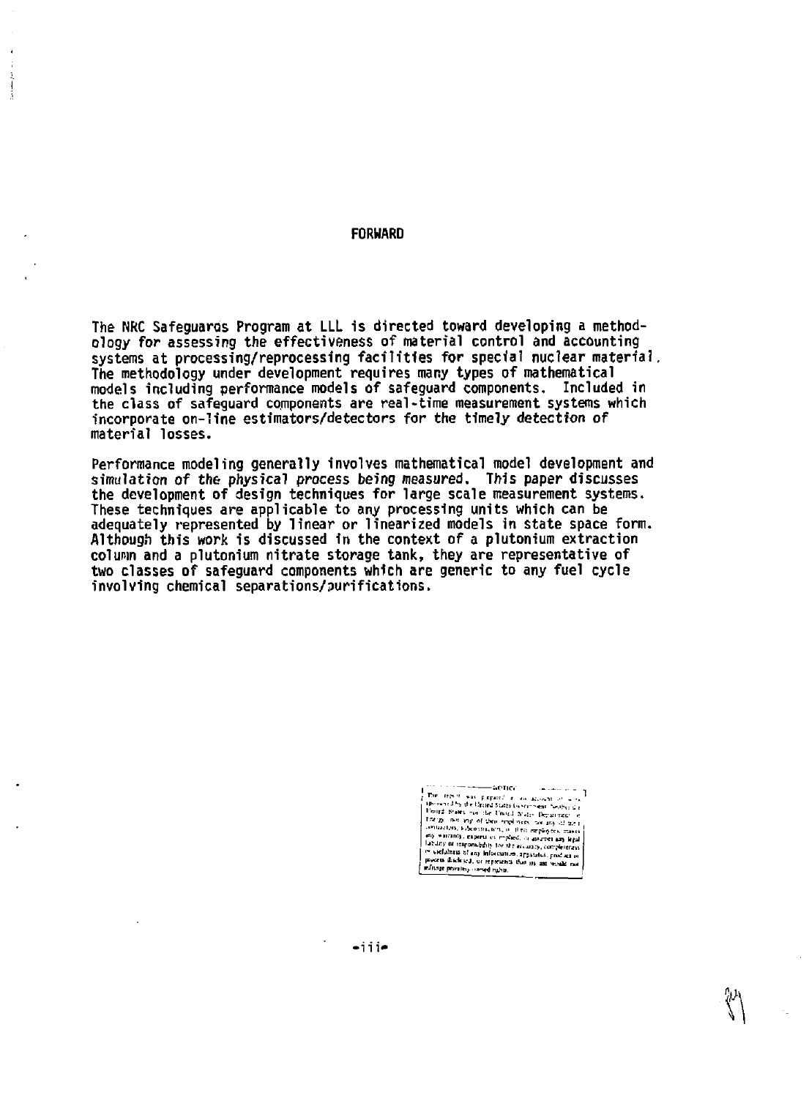#### **FORWARD**

**The NRC Safeguaros Program at LLL is directed toward developing a methodology for assessing the effectiveness of material control and accounting systems at processing/reprocessing facilities for special nuclear material. The methodology under development requires many types of mathematical models including performance models of safeguard components. Included in the class of safeguard components are real-time measurement systems which incorporate on-line estimators/detectors for the timely detection of material losses.** 

**Performance modeling generally involves mathematical model development and simulation of the physical process being measured. This paper discusses the development of design techniques for large scale measurement systems. These techniques are applicable to any processing units which can be adequately represented by linear or linearized models in state space form. Although this work is discussed in the context of a plutonium extraction colunn and a plutonium nitrate storage tank, they are representative of two classes of safeguard components which are generic to any fuel cycle involving chemical separations/purifications.** 

> the component worker ı

**•m»**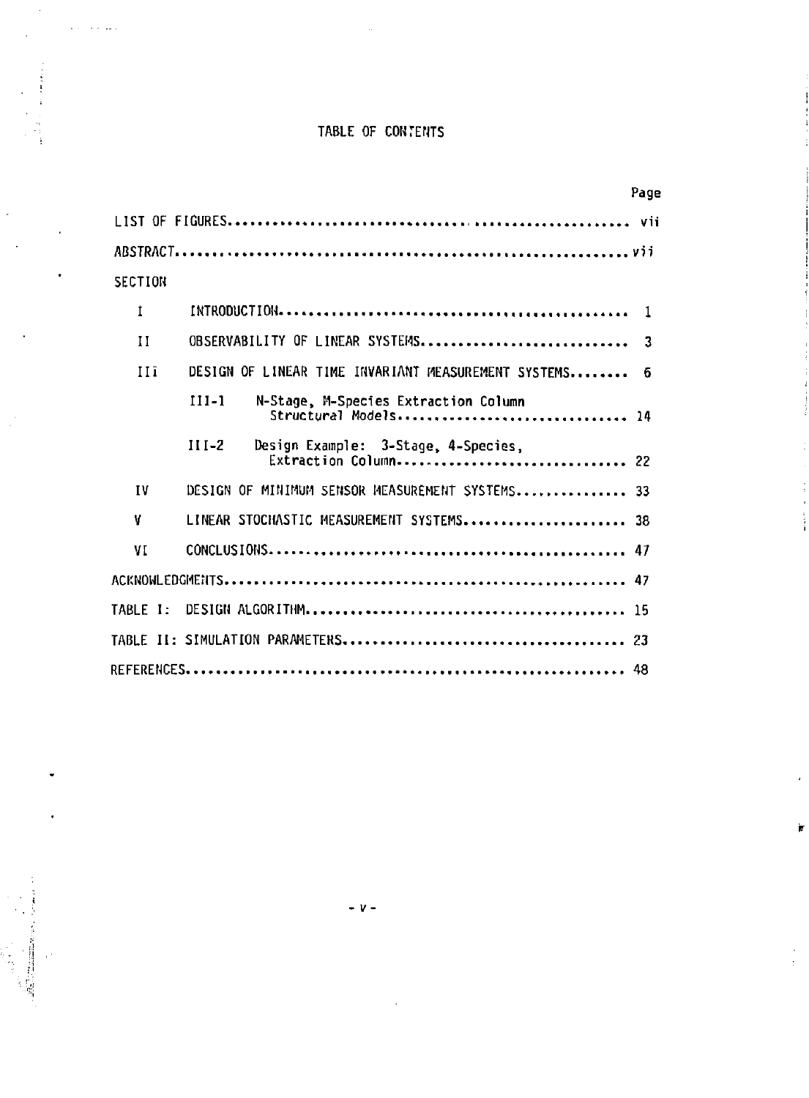## **TABLE OF CONTENTS**

 $\sim 10$  km

l,

|           |                                                                        | Page |
|-----------|------------------------------------------------------------------------|------|
|           |                                                                        |      |
|           |                                                                        |      |
| SECTION   |                                                                        |      |
| 1         |                                                                        |      |
| Ħ         | OBSERVABILITY OF LINEAR SYSTEMS 3                                      |      |
| IIi       | DESIGN OF LINEAR TIME INVARIANT MEASUREMENT SYSTEMS                    | -6   |
|           | $111 - 1$<br>N-Stage, M-Species Extraction Column                      |      |
|           | $III-2$<br>Design Example: 3-Stage, 4-Species,<br>Extraction Column 22 |      |
| <b>IV</b> | DESIGN OF MINIMUM SENSOR MEASUREMENT SYSTEMS 33                        |      |
| V         | LINEAR STOCHASTIC MEASUREMENT SYSTEMS 38                               |      |
| VI        |                                                                        |      |
|           |                                                                        |      |
| TARLE I:  |                                                                        |      |
|           |                                                                        |      |
|           |                                                                        |      |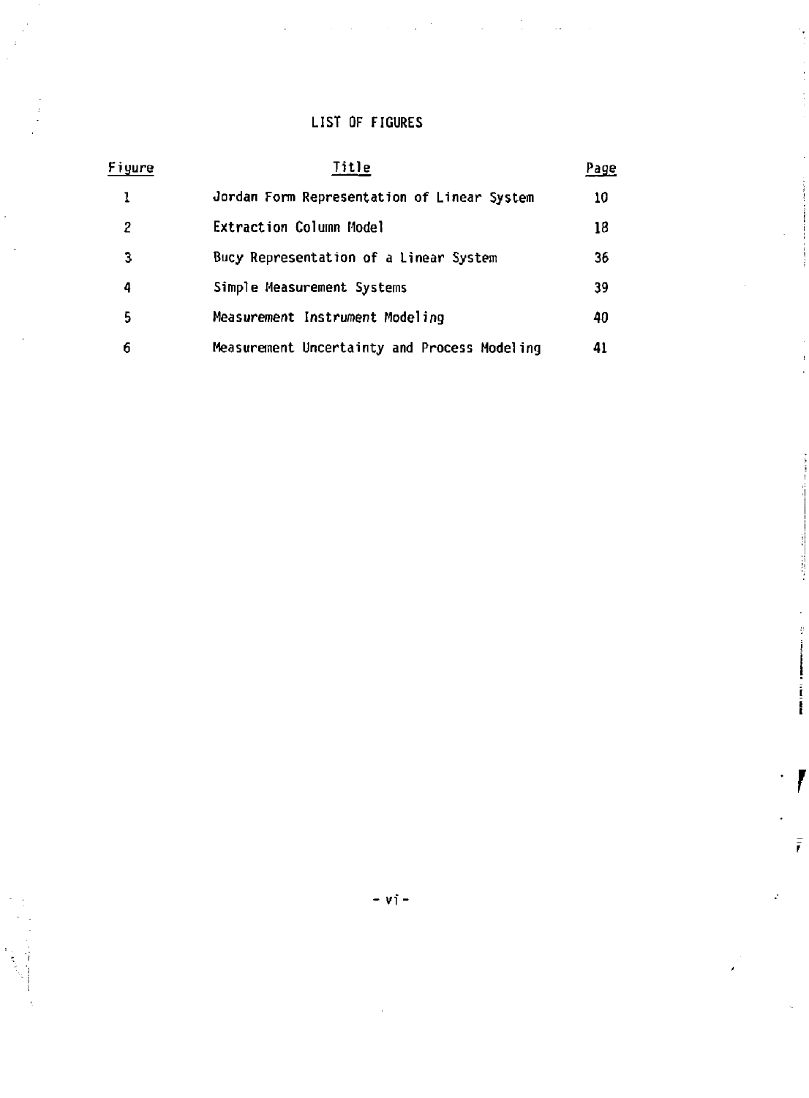## **LIST OF FIGURES**

| Figure | Title                                        | Page |
|--------|----------------------------------------------|------|
|        | Jordan Form Representation of Linear System  | 10   |
| 2      | Extraction Column Model                      | 18   |
| 3      | Bucy Representation of a Linear System       | 36   |
| 4      | Simple Measurement Systems                   | 39   |
| 5      | Measurement Instrument Modeling              | 40   |
| 6      | Measurement Uncertainty and Process Modeling | 41   |

 $- vi -$ 

 $\bar{r}$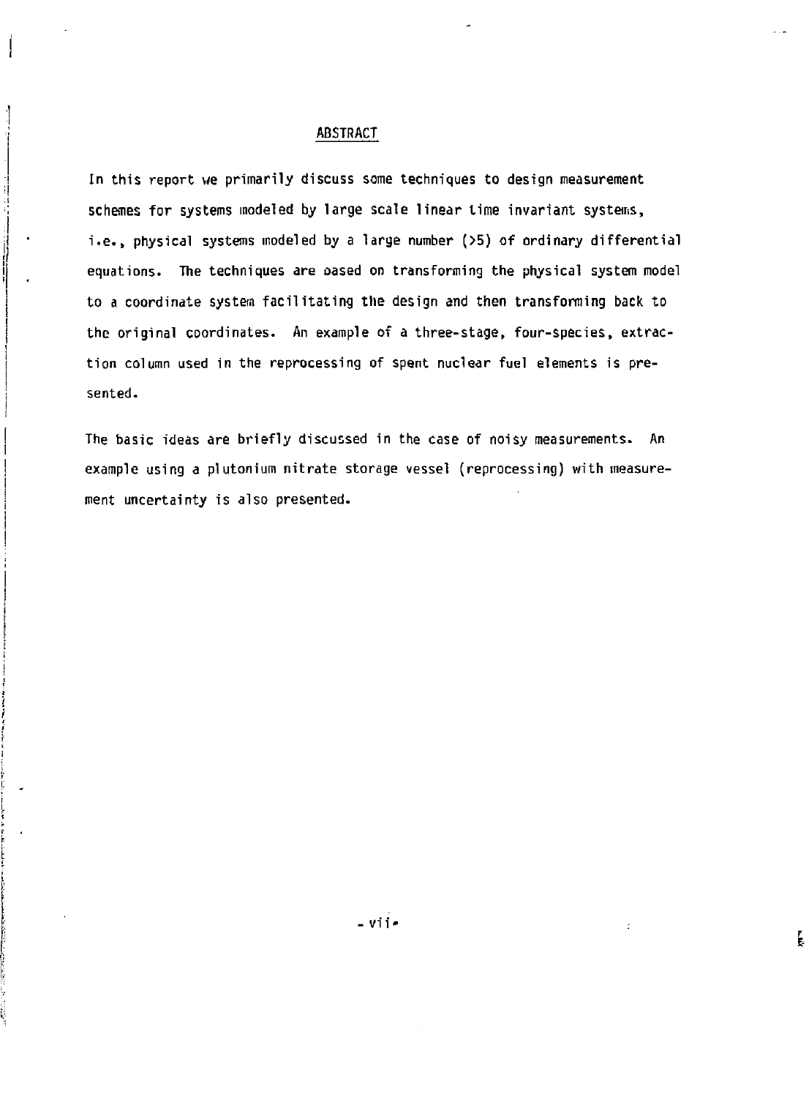#### **ABSTRACT**

**In this report we primarily discuss some techniques to design measurement schemes for systems modeled by large scale linear time invariant systems, i.e., physical systems modeled by a large number (>5) of ordinary differential equations. The techniques are oased on transforming the physical system model**  to a coordinate system facilitating the design and then transforming back to **the original coordinates. An example of a three-stage, four-species, extraction column used in the reprocessing of spent nuclear fuel elements is presented.** 

**The basic ideas are briefly discussed in the case of noisy measurements. An example using a plutonium nitrate storage vessel (reprocessing) with measurement uncertainty is also presented.**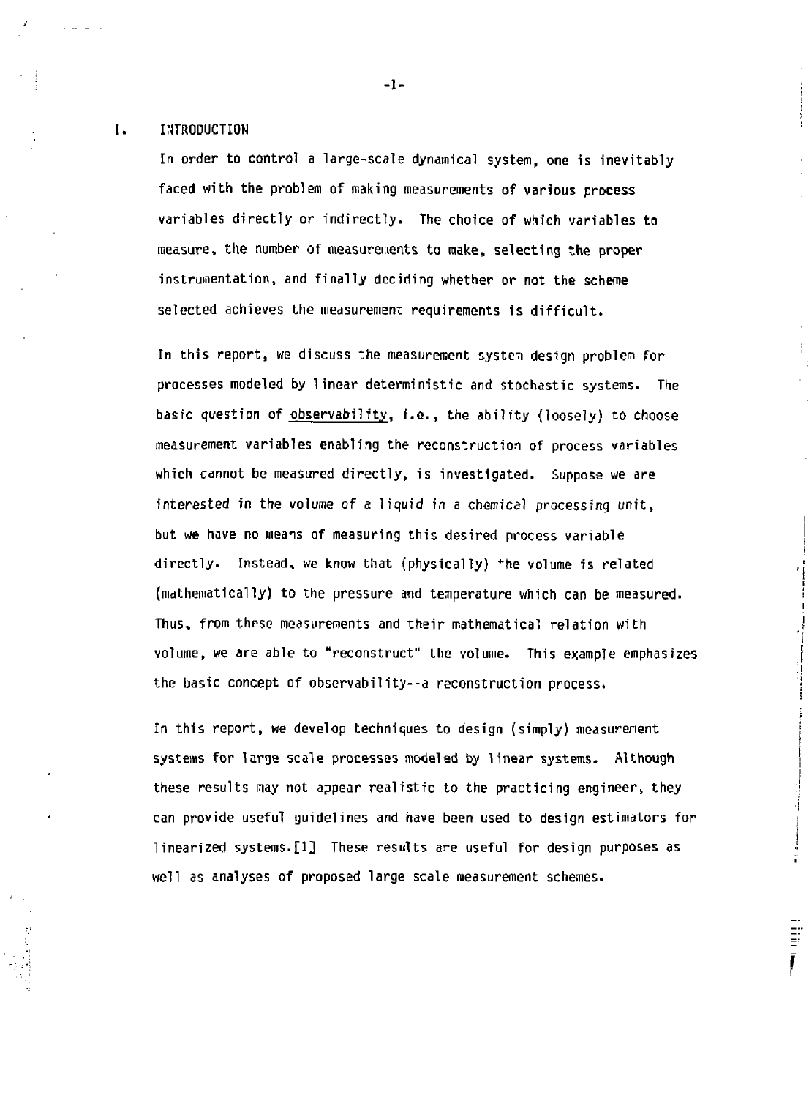#### L. **INTRODUCTION**

**In order to control a large-scale dynamical system, one is inevitably faced with the problem of making measurements of various process variables directly or indirectly. The choice of which variables to measure, the number of measurements to make, selecting the proper instrumentation, and finally deciding whether or not the scheme selected achieves the measurement requirements is difficult.** 

**In this report, we discuss the measurement system design problem for processes modeled by linear deterministic and stochastic systems. The basic question of observability, i.e., the ability (loosely) to choose measurement variables enabling the reconstruction of process variables which cannot be measured directly, is investigated. Suppose we are interested in the volume of a liquid in a chemical processing unit, but we have no means of measuring this desired process variable directly. Instead, we know that (physically) \*he volume is related {mathematically) to the pressure and temperature which can be measured. Thus, from these measurements and their mathematical relation with volume, we are able to "reconstruct" the volume. This example emphasizes the basic concept of observability—a reconstruction process.** 

**In this report, we develop techniques to design (simply) measurement systems for large scale processes modeled by linear systems. Although these results may not appear realistic to the practicing engineer, they can provide useful guidelines and have been used to design estimators for linearized systems.[1] These results are useful for design purposes as well as analyses of proposed large scale measurement schemes.** 

> $\ddot{\Xi}^2$ Ī

**-1-**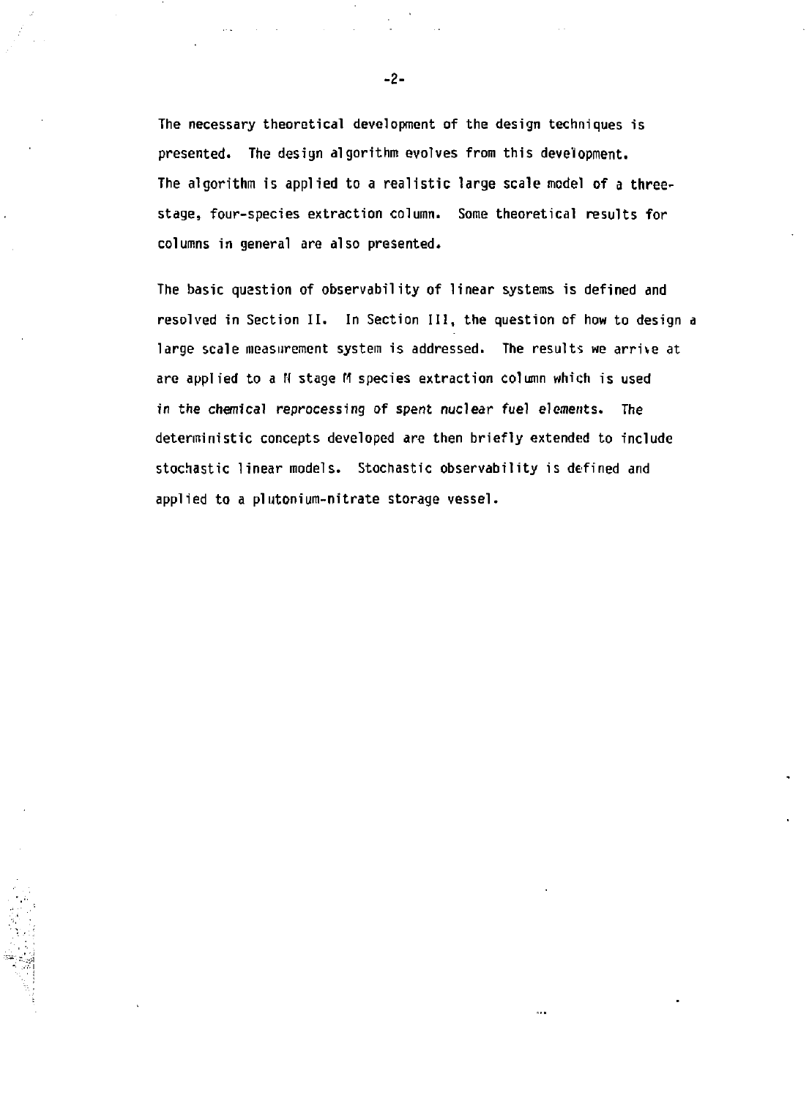**The necessary theoretical development of the design techniques is presented. The design algorithm evolves from this development. The algorithm is applied to a realistic large scale model of a threestage, four-species extraction column. Some theoretical results for columns in general are also presented.** 

**The basic question of observability of linear systems is defined and resolved in Section II. In Section III, the question of how to design a large scale measurement system is addressed. The results we arrive at**  are applied to a N stage M species extraction column which is used **in the chemical reprocessing of spent nuclear fuel elements. The deterministic concepts developed** *are* **then briefly extended to include stochastic linear models. Stochastic observability is defined and applied to a plutonium-nitrate storage vessel.**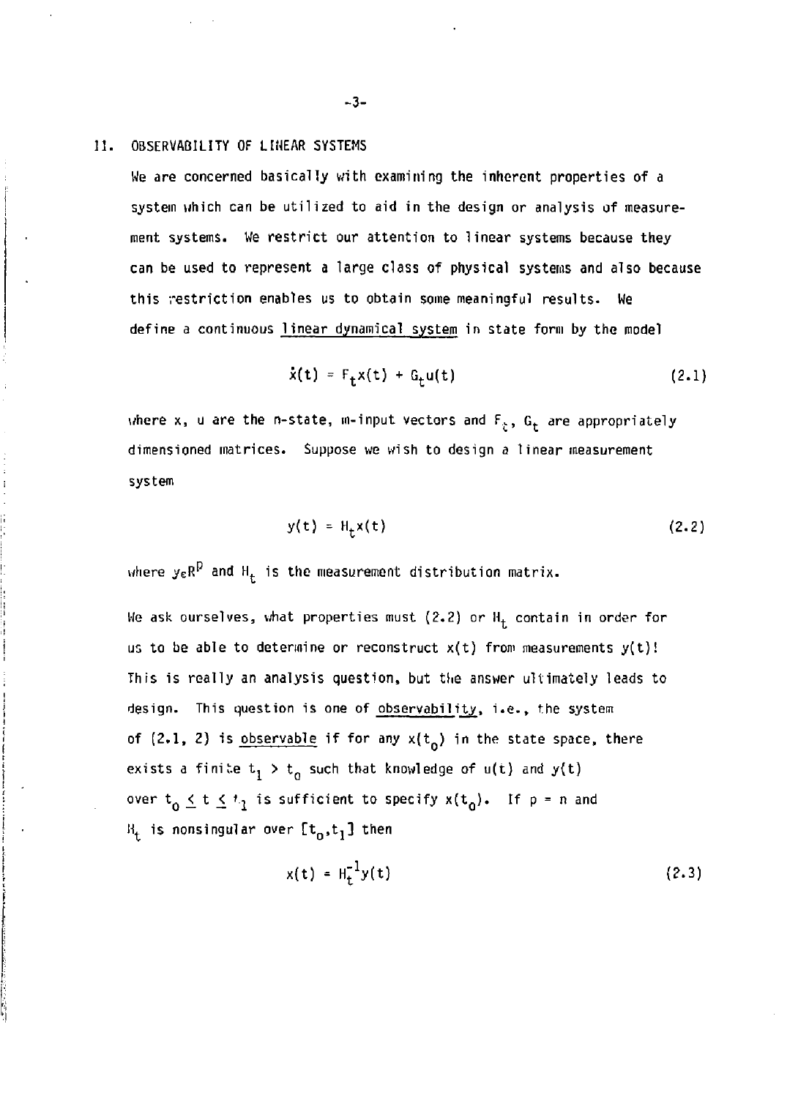**II. OBSERVABILITY OF LIHEAR SYSTEMS** 

**We are concerned basically with examining the inherent properties of a system which can be utilized to aid in the design or analysis of measurement systems. We restrict our attention to linear systems because they can be used to represent a large class of physical systems and also because this restriction enables us to obtain some meaningful results. We define a continuous linear dynamical system in state form by the model** 

$$
\dot{x}(t) = F_{+}x(t) + G_{+}u(t) \qquad (2.1)
$$

where x, u are the n-state, m-input vectors and  $F_g$ ,  $G_t$  are appropriately **dimensioned matrices. Suppose we wish to design a linear measurement system** 

$$
y(t) = Ht x(t)
$$
 (2.2)

where  $y_{{\mathsf{e}}} {\mathsf{R}}^{\nu}$  and  ${\mathsf{H}}_{\mathsf{r}}$  is the measurement distribution matrix.

We ask ourselves, what properties must (2.2) or  $H_t$  contain in order for us to be able to determine or reconstruct  $x(t)$  from measurements  $y(t)$ ! This is really an analysis question, but the answer ultimately leads to design. This question is one of observability, i.e., the system of (2.1, 2) is observable if for any  $x(t_0)$  in the state space, there exists a finite  $t_1 > t_0$  such that knowledge of  $u(t)$  and  $y(t)$ over  $t_0 \le t \le t_1$  is sufficient to specify  $x(t_0)$ . If  $p = n$  and  $B_t$  is nonsingular over  $[t^{\text{}}_0, t^{\text{}}_1]$  then

$$
x(t) = H_t^{-1}y(t)
$$
 (2.3)

**-3-**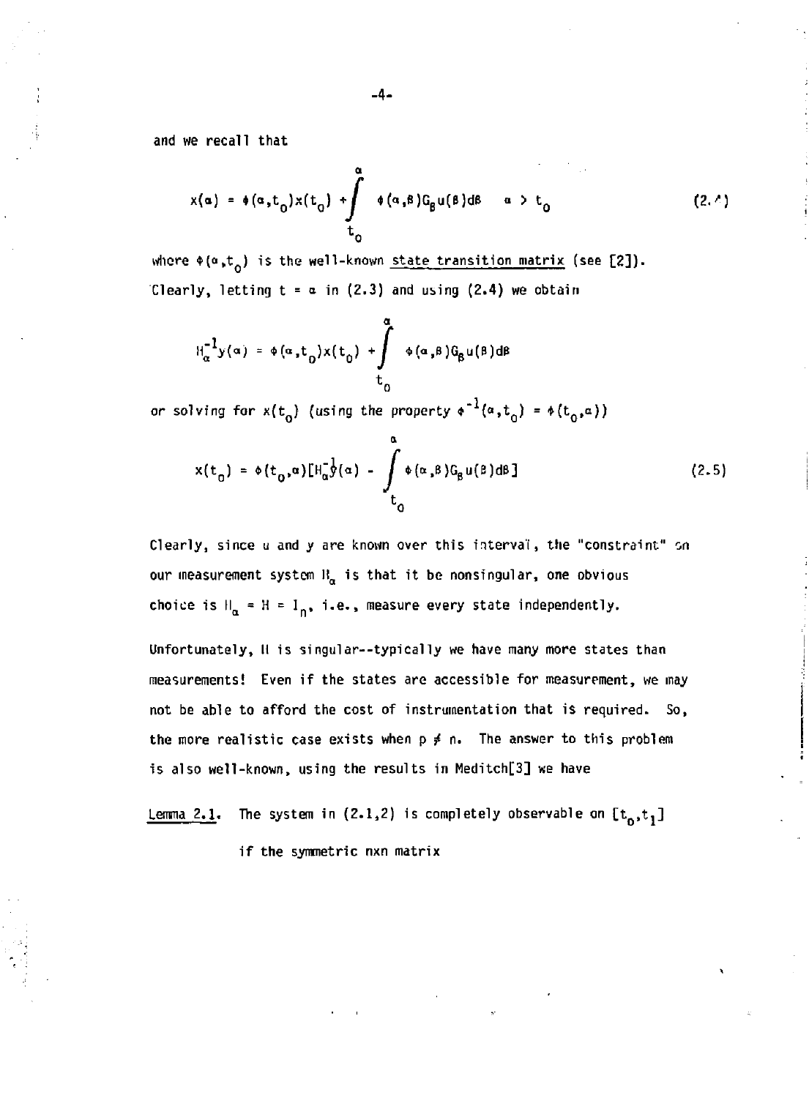and we recall that

$$
x(\alpha) = \phi(\alpha, t_0) x(t_0) + \int_{t_0}^{\alpha} \phi(\alpha, \beta) G_{\beta} u(\beta) d\beta \quad \alpha > t_0
$$
 (2.4)

where  $\phi(\alpha,t_0)$  is the well-known state transition matrix (see [2]). Clearly, letting  $t = a$  in (2.3) and using (2.4) we obtain

$$
H_{\alpha}^{-1}y(\alpha) = \phi(\alpha,t_0)x(t_0) + \int_{t_0}^{\alpha} \phi(\alpha,\beta)G_{\beta}u(\beta)d\beta
$$

*or* solving for  $x(t_0)$  (using the property  $\phi^{-1}(a,t_0) = \phi(t_0,a)$ )

$$
x(t_0) = \phi(t_0, \alpha) [H_{\alpha}^{-\frac{1}{2}}(\alpha) - \int_{t_0}^{\alpha} \phi(\alpha, \beta) G_{\beta} u(\beta) d\beta]
$$
 (2.5)

Clearly, since u and y are known over this interval, the "constraint" on our measurement system  $B_{\alpha}$  is that it be nonsingular, one obvious choice is  $H_{\alpha} = H = I_n$ , i.e., measure every state independently.

Unfortunately, II is singular—typically we have many more states than measurements! Even if the states are accessible for measurement, we may not be able to afford the cost of instrumentation that is required. So, the more realistic case exists when  $p \neq n$ . The answer to this problem is also well-known, using the results in Meditch[3] we have

```
Lemma 2.1. The system in (2.1,2) is completely observable on [t_0, t_1]if the symmetric nxn matrix
```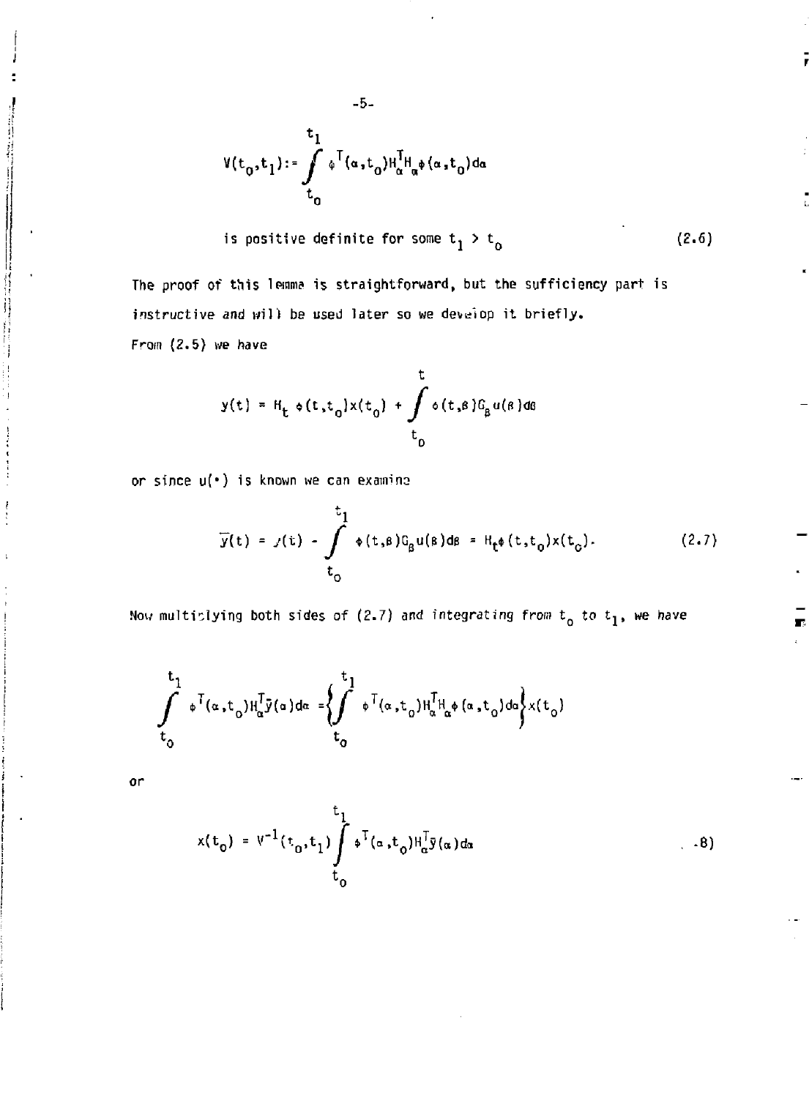$$
V(t_0,t_1):=\int\limits_{t_0}^{t_1} \phi^\top(\alpha,t_0)H^{\tilde{I}}_\alpha H_\alpha\phi(\alpha,t_0) d\alpha
$$

-5-

is positive definite for some  $t_1 > t_0$ (2.6)

The proof of this lemma is straightforward, but the sufficiency part is instructive and will be used later so we develop it briefly. From (2.5) we have

$$
y(t) = H_t \circ (t, t_0) \times (t_0) + \int_{t_0}^t \circ (t, s) G_\beta u(s) ds
$$

or since u(\*) is known we can examine

$$
\overline{y}(t) = y(t) - \int_{t_0}^{t_1} \phi(t,\beta) G_g u(\beta) d\beta = H_{t^{\phi}}(t,t_0) x(t_0).
$$
 (2.7)

Now multiplying both sides of (2.7) and integrating from  $t_0$  to  $t_1$ , we have

$$
\int_{t_0}^{t_1} \int_0^{\tau} (\alpha, t_0) H_{\alpha}^T \bar{y}(\alpha) d\alpha = \left\{ \int_{t_0}^{t_1} \int_0^{\tau} (\alpha, t_0) H_{\alpha}^T H_{\alpha}^* (\alpha, t_0) d\alpha \right\} x(t_0)
$$

or

$$
x(t_0) = V^{-1}(t_0, t_1) \int_0^{t_1} \phi^{T}(\alpha, t_0) H_{\alpha}^{T} \bar{y}(\alpha) d\alpha
$$
 (8)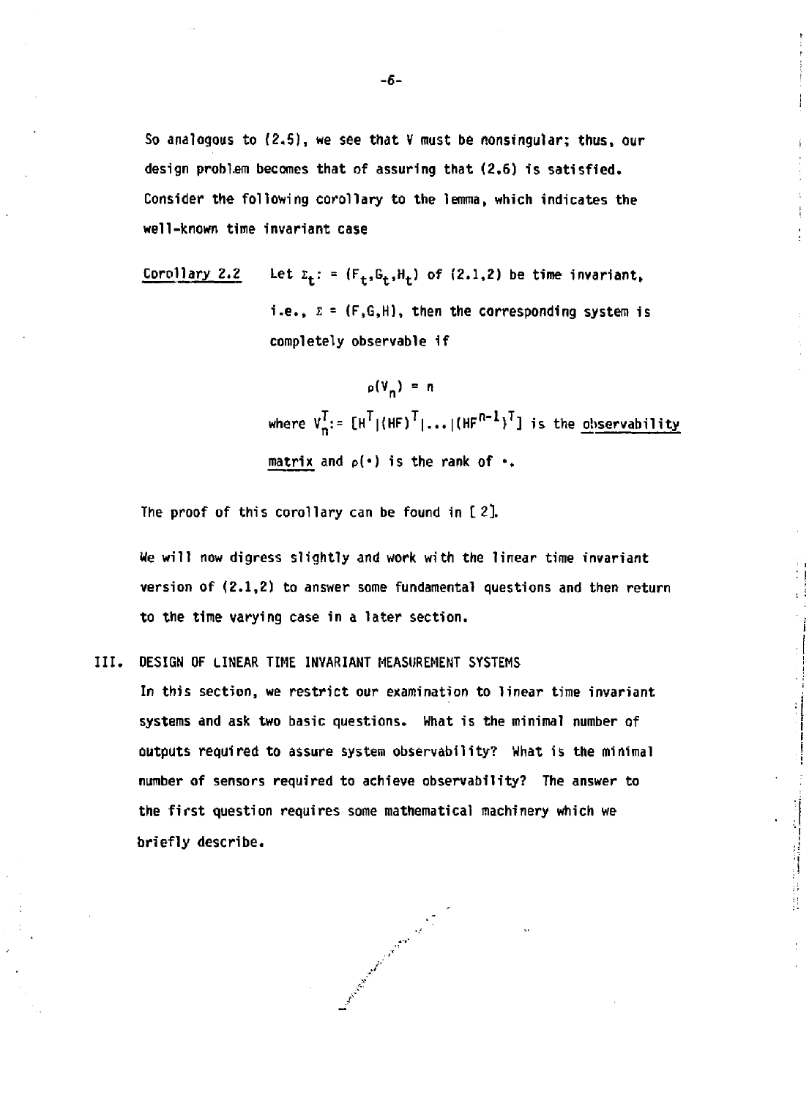So analogous to (2.5), we see that V must be nonsfngular; thus, our design problem becomes that of assuring that (2.6) is satisfied. Consider the following corollary to the lemma, which indicates the well-known time invariant case

Corollary 2.2 Let  $z_t$ : =  $(F_t, G_t, H_t)$  of (2.1,2) be time invariant, i.e.,  $\Sigma = (F, G, H)$ , then the corresponding system is completely observable if

> $p(V_n) = n$ where  $V_n^*: [H^*|(HF)^*|...|[HF^{n-1})^*]$  is the observability matrix and  $p(\cdot)$  is the rank of  $\cdot$ .

The proof of this corollary can be found in [ 2].

We will now digress slightly and work with the linear time invariant version of (2.1,2) to answer some fundamental questions and then return to the time varying case in a later section.

III. DESIGN OF LINEAR TIME INVARIANT MEASUREMENT SYSTEMS

In this section, we restrict our examination to linear time invariant systems and ask two basic questions. What is the minimal number of outputs required to assure system observability? What is the minimal number of sensors required to achieve observability? The answer to the first question requires some mathematical machinery which we briefly describe.

Contract of the contract of the contract of the contract of the contract of the contract of the contract of the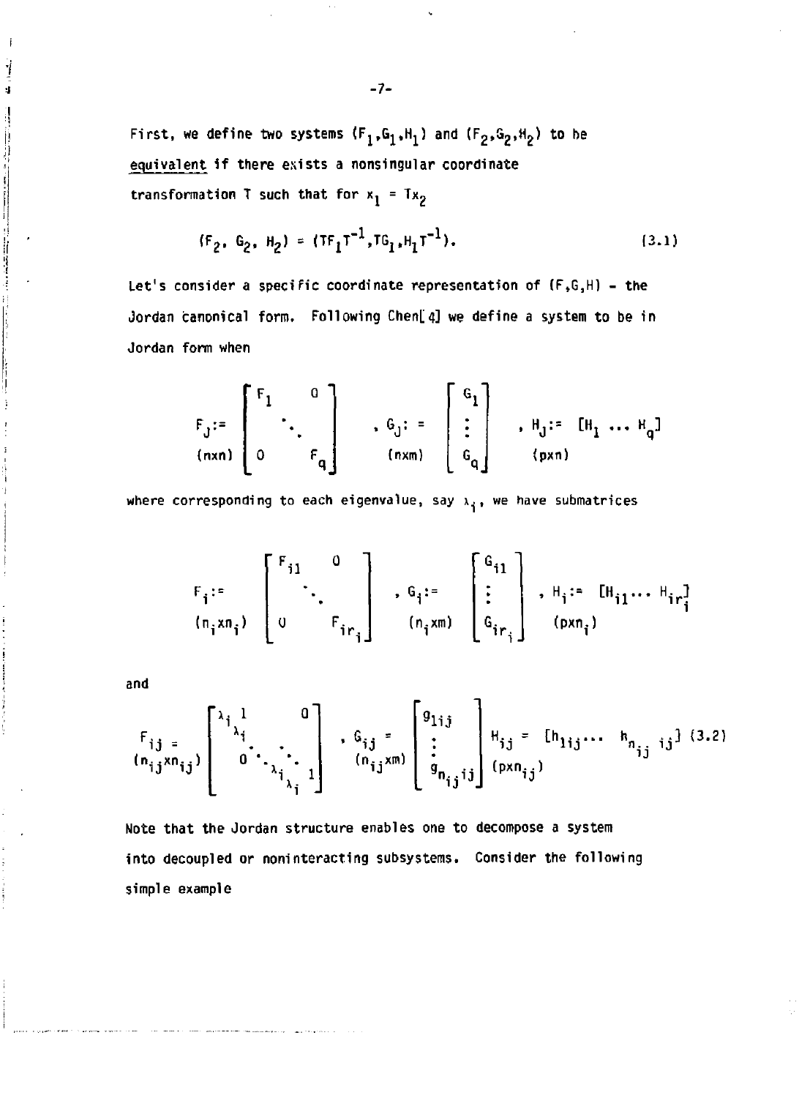First, we define two systems  $(F_1, G_1, H_1)$  and  $(F_2, G_2, H_2)$  to be equivalent if there exists a nonsingular coordinate transformation T such that for  $x_1 = Tx_2$ 

$$
(F_2, G_2, H_2) = (TF_1T^{-1}, TG_1, H_1T^{-1}).
$$
\n(3.1)

Let's consider a specific coordinate representation of (F,G,H) - the Jordan canonical form. Following Chen[4] we define a system to be in Jordan form when

$$
F_{J} := \begin{bmatrix} F_1 & 0 \\ \vdots & \ddots & \vdots \\ 0 & F_q \end{bmatrix} \quad , \quad G_{J} := \begin{bmatrix} G_1 \\ \vdots \\ G_q \end{bmatrix} \quad , \quad H_{J} := [H_1 \dots H_q]
$$

where corresponding to each eigenvalue, say  $x_i$ , we have submatrices

$$
F_{i} := \begin{bmatrix} F_{i1} & 0 \\ & \ddots & \\ 0 & & F_{ir_{i}} \end{bmatrix}, G_{i} := \begin{bmatrix} G_{i1} \\ \vdots \\ G_{ir_{i}} \end{bmatrix}, H_{i} := [H_{i1} \cdots H_{ir_{i}}]
$$

and

j 4

$$
F_{ij} = \begin{bmatrix} \lambda_{i} & 0 \\ 0 & \lambda_{i} & \lambda_{i} \\ 0 & \lambda_{i} & \lambda_{i} \\ 0 & \lambda_{i} & \lambda_{i} \end{bmatrix}, G_{ij} = \begin{bmatrix} g_{1ij} \\ \vdots \\ g_{nj}j \end{bmatrix} H_{ij} = [h_{1ij} \dots h_{nj} \text{ is } (3.2)
$$

Note that the Jordan structure enables one to decompose a system into decoupled or noninteracting subsystems. Consider the following simple example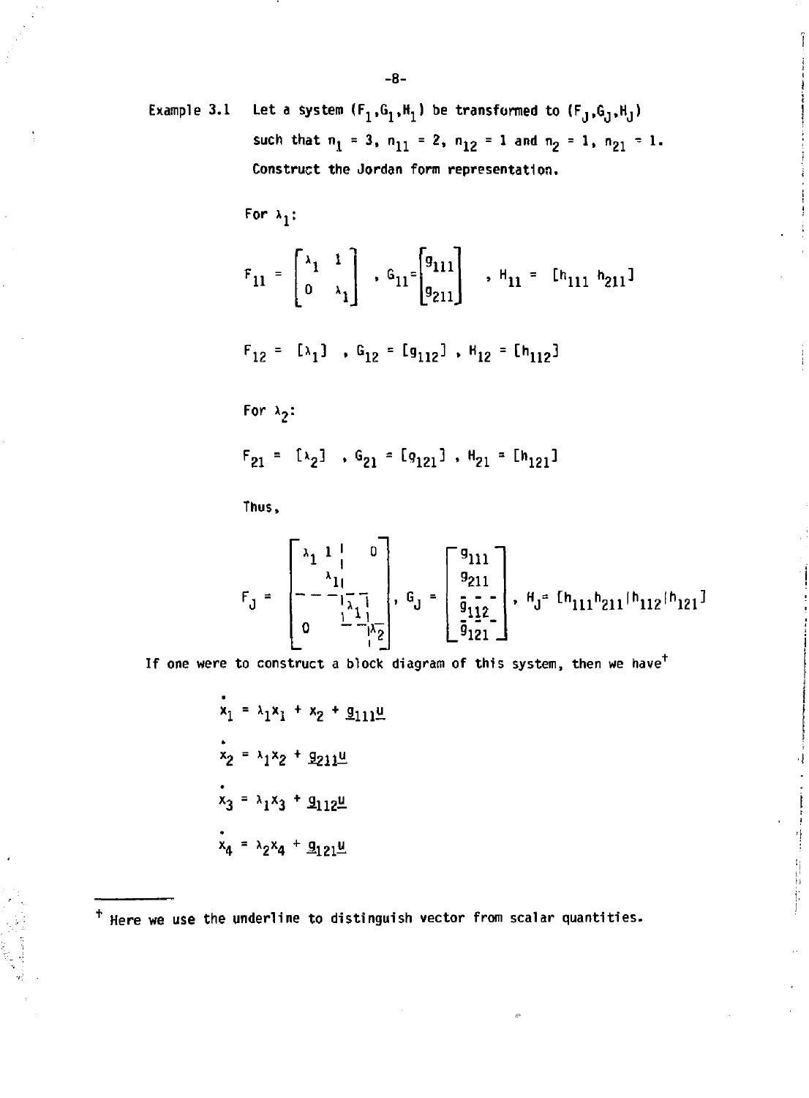Example 3.1 Let a system  $(F_1, G_1, H_1)$  be transformed to  $(F_J, G_J, H_J)$ such that  $n_1 = 3$ ,  $n_{11} = 2$ ,  $n_{12} = 1$  and  $n_2 = 1$ ,  $n_{21} = 1$ . **Construct the Jordan form representation.** 

**For** *\*  r

$$
F_{11} = \begin{bmatrix} \lambda_1 & 1 \\ 0 & \lambda_1 \end{bmatrix} , 6_{11} = \begin{bmatrix} g_{111} \\ g_{211} \end{bmatrix} , H_{11} = [h_{111} h_{211}]
$$

$$
F_{12} = [\lambda_1] , G_{12} = [g_{112}], H_{12} = [h_{112}]
$$

For  $\lambda_2$ :

$$
F_{21} = \lbrack \lambda_2 \rbrack
$$
,  $G_{21} = \lbrack g_{121} \rbrack$ ,  $H_{21} = \lbrack h_{121} \rbrack$ 

**Thus,** 

$$
F_J = \begin{bmatrix} \lambda_1 & 1 & 0 \\ \lambda_1 & \lambda_1 & 0 \\ -\lambda_1 & \lambda_1 & 0 \\ 0 & \frac{1}{2} & \frac{1}{2} \\ 0 & \frac{1}{2} & \frac{1}{2} \end{bmatrix}, \quad G_J = \begin{bmatrix} g_{111} \\ g_{211} \\ \frac{1}{2} & 0 \\ \frac{1}{2} & \frac{1}{2} \end{bmatrix}, \quad H_J = [h_{111}h_{211}|h_{112}|h_{121}]
$$

有限制

If one were to construct a block diagram of this system, then we have<sup>t</sup>

$$
x_1 = \lambda_1 x_1 + x_2 + \underline{g}_{111} \underline{u}
$$
  
\n
$$
x_2 = \lambda_1 x_2 + \underline{g}_{211} \underline{u}
$$
  
\n
$$
x_3 = \lambda_1 x_3 + \underline{g}_{112} \underline{u}
$$
  
\n
$$
x_4 = \lambda_2 x_4 + \underline{g}_{121} \underline{u}
$$

+ Here we use the underline to distinguish vector from scalar quantities.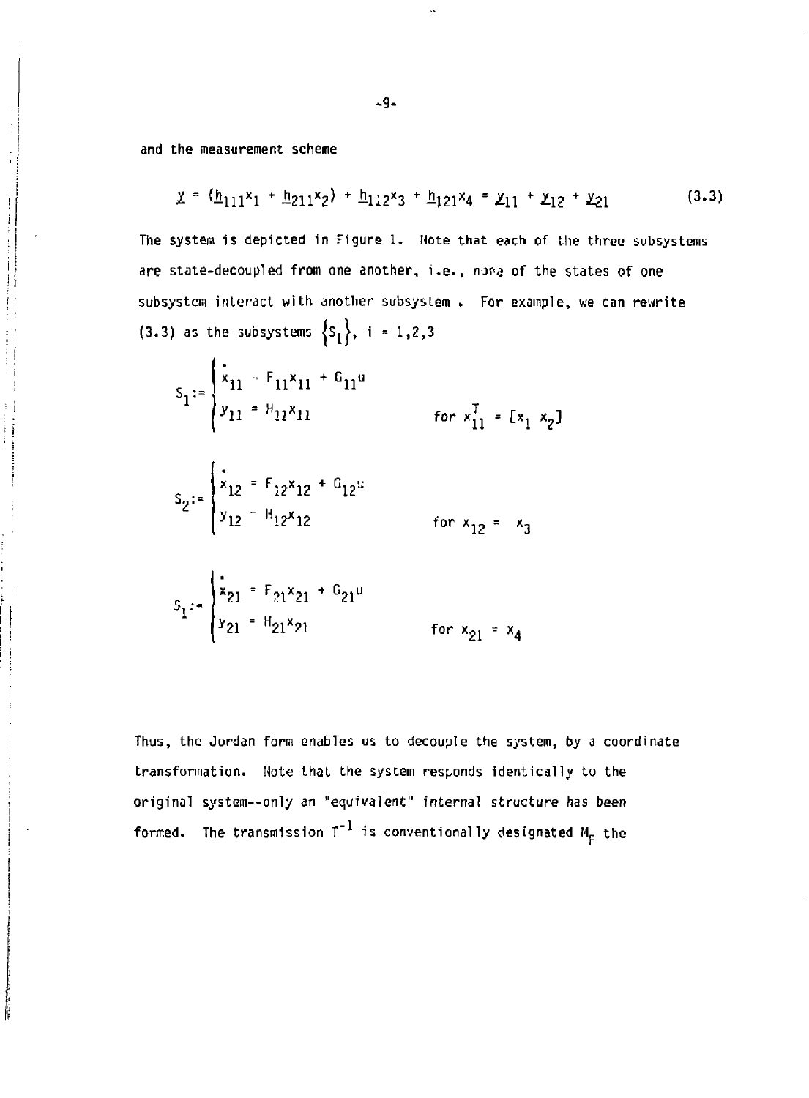and the measurement scheme

ï

 $\frac{1}{i}$  $\frac{1}{2}$ 

 $\begin{bmatrix} \frac{1}{2} & \frac{1}{2} & \frac{1}{2} & \frac{1}{2} & \frac{1}{2} \\ \frac{1}{2} & \frac{1}{2} & \frac{1}{2} & \frac{1}{2} & \frac{1}{2} \\ \frac{1}{2} & \frac{1}{2} & \frac{1}{2} & \frac{1}{2} & \frac{1}{2} \\ \frac{1}{2} & \frac{1}{2} & \frac{1}{2} & \frac{1}{2} & \frac{1}{2} \\ \frac{1}{2} & \frac{1}{2} & \frac{1}{2} & \frac{1}{2} & \frac{1}{2} \\ \frac{1}{2} & \frac{1}{2$ 

ĺ

$$
\underline{y} = (\underline{h}_{111}x_1 + \underline{h}_{211}x_2) + \underline{h}_{112}x_3 + \underline{h}_{121}x_4 = \underline{y}_{11} + \underline{y}_{12} + \underline{y}_{21}
$$
 (3.3)

The system is depicted in Figure 1. Note that each of the three subsystems are state-decoupled from one another, i.e. , nona of the states of one subsystem interact with another subsystem . For example, we can rewrite (3.3) as the subsystems  $\{s_1\}$ , i = 1,2,3

$$
S_1 = \begin{cases} x_{11} = F_{11}x_{11} + G_{11}u \\ y_{11} = H_{11}x_{11} & \text{for } x_{11}^T = [x_1, x_2] \end{cases}
$$

$$
S_2 = \begin{cases} \n\dot{x}_{12} = F_{12}x_{12} + G_{12}x_{12} \\
y_{12} = H_{12}x_{12} & \text{for } x_{12} = x_3\n\end{cases}
$$

$$
S_1 = \begin{cases} x_{21} = F_{21}x_{21} + G_{21}u \\ y_{21} = H_{21}x_{21} & \text{for } x_{21} = x_4 \end{cases}
$$

**Thus, the Jordan form enables us to decouple the system, by a coordinate transformation. Note that the system responds identically to the original system—only** *an* **"equivalent" internal structure has been**  formed. The transmission  $T^{-1}$  is conventionally designated  $M_F^-$  the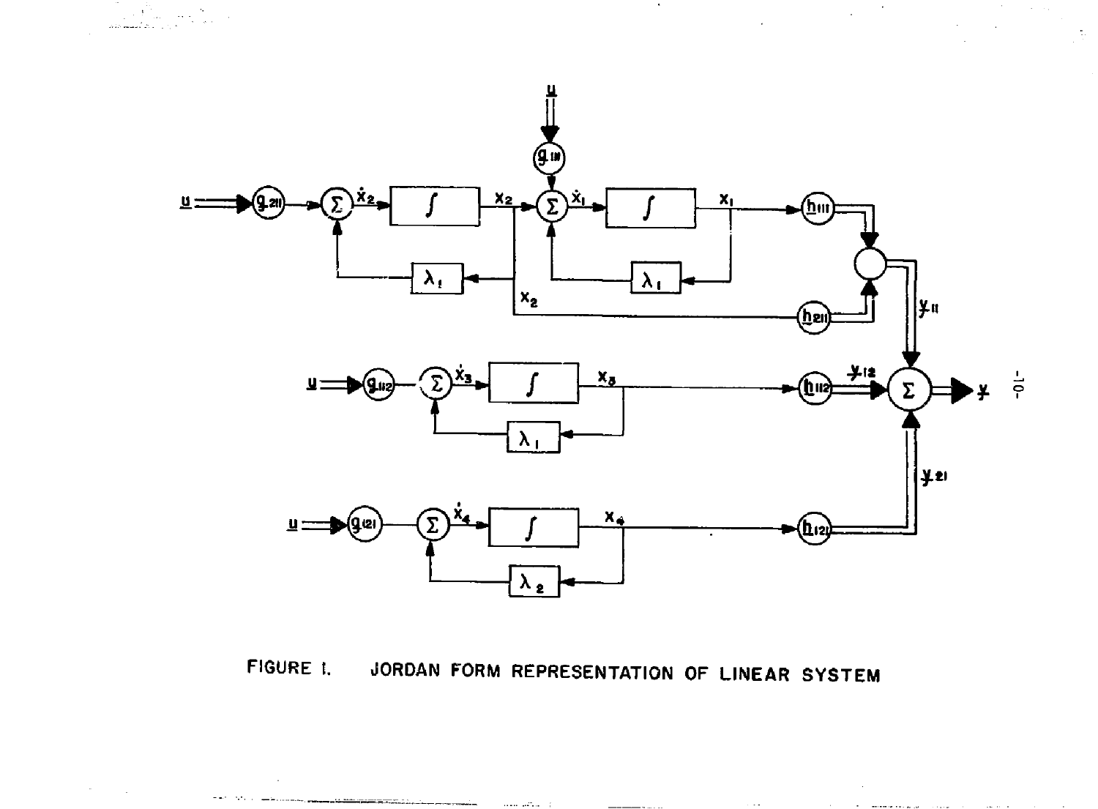

 $\label{eq:2} \lim_{\substack{\longrightarrow\\ \text{minmax} \\ \text{minmax} \\ \text{minmax} \\ \text{minmax} \\ \text{minmax} \\ \text{minmax} \\ \text{minmax} \\ \text{minmax} \\ \text{minmax} \\ \text{minmax} \\ \text{minmax} \\ \text{minmax} \\ \text{minmax} \\ \text{minmax} \\ \text{minmax} \\ \text{minmax} \\ \text{minmax} \\ \text{minmax} \\ \text{minmax} \\ \text{minmax} \\ \text{minmax} \\ \text{minmax} \\ \text{minmax} \\ \text{minmax} \\ \text{minmax} \\ \text{minmax} \\ \text{minmax} \\ \text{minmax} \\ \text{minmax} \\ \$ 

 $\sim$ 

FIGURE 1. JORDAN FORM REPRESENTATION OF LINEAR SYSTEM

 $\sim 100$  and  $\sim 100$ 

<u>a salah mempunyai dan bagi dan bagi dalam dan bagi dalam dalam dalam dalam dalam dalam dalam dalam dalam dala</u>

 $\mathcal{O}(2^{\log n})$  , where  $\mathcal{O}(2^{\log n})$ 

 $\sim 100$ 

the company's special contract and a series

l.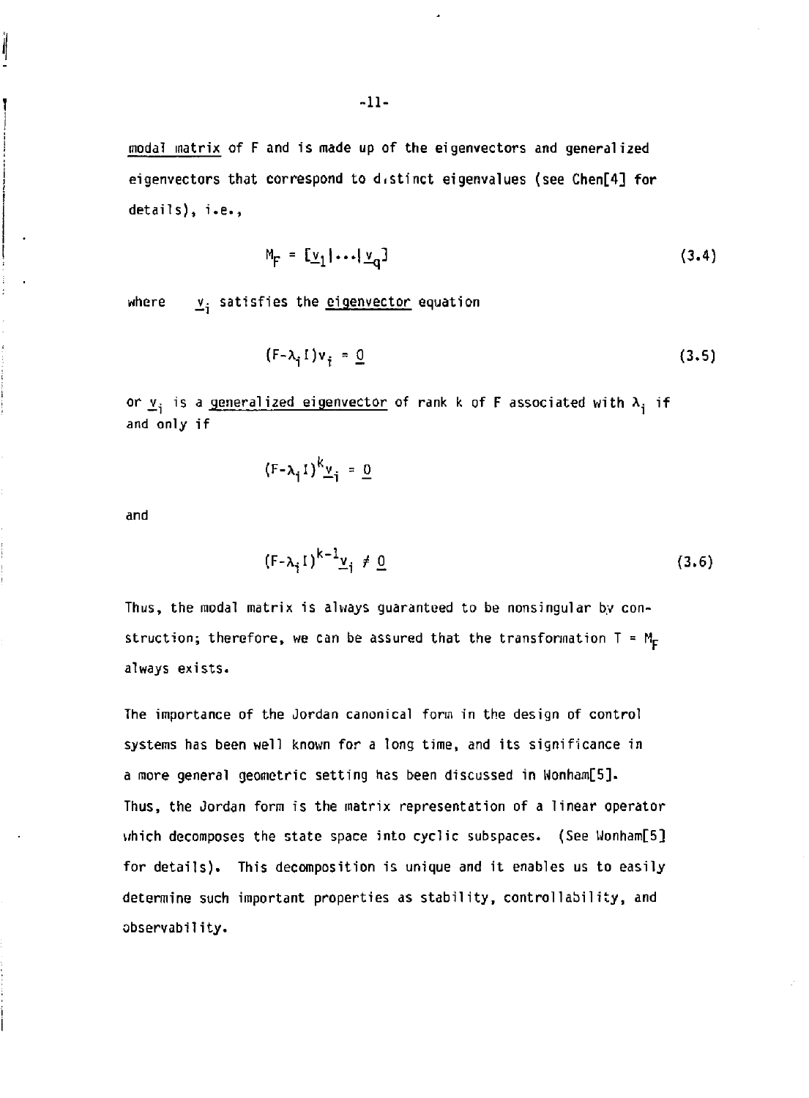**modal matrix of F and is made up of the eigenvectors and generalized eigenvectors that correspond to distinct eigenvalues (see Chen[4] for details), i.e.,** 

$$
M_F = \left[ \underline{v}_1 | \dots | \underline{v}_q \right] \tag{3.4}
$$

where  $y_i$  satisfies the **eigenvector** equation

$$
(F - \lambda_i I) v_i = \underline{0} \tag{3.5}
$$

**or**  $\underline{v}_i$  is a generalized eigenvector of rank k of F associated with  $\lambda_i$  if **and only if** 

$$
(F - \lambda_i I)^{k} \underline{v}_i = \underline{0}
$$

**and** 

Ì

$$
(F - \lambda_i I)^{k - 1} \underline{v}_i \neq \underline{0} \tag{3.6}
$$

**Thus, the modal matrix is always guaranteed to be nonsingular by con**struction; therefore, we can be assured that the transformation  $T = M_F$ **always exists.** 

**The importance of the Jordan canonical form in the design of control systems has been well known for a long time, and its significance in a more general geometric setting has been discussed in Wonham[5]. Thus, the Jordan form is the matrix representation of a linear operator which decomposes the state space into cyclic subspaces. (See Uonham[5] for details). This decomposition is unique and it enables us to easily determine such important properties as stability, controllability, and observability.**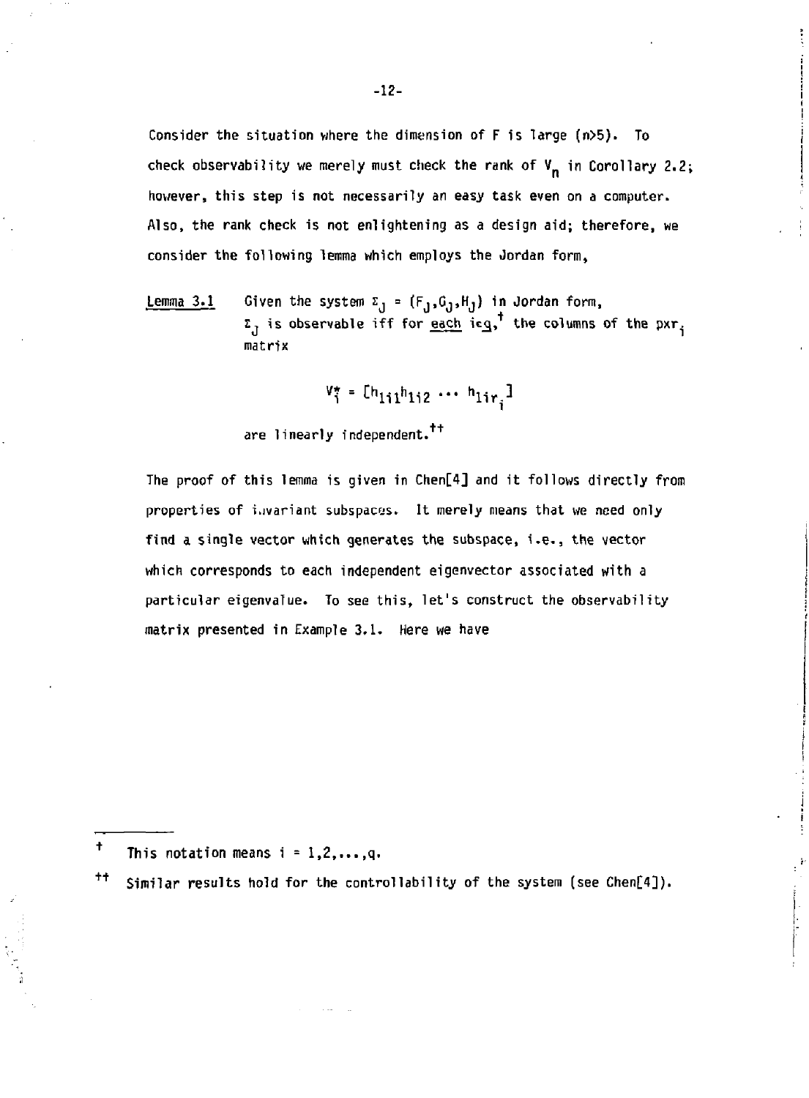**Consider the situation where the dimension of F is large (n>5). To**  check observability we merely must check the rank of  $V_n$  in Corollary 2.2; **however, this step is not necessarily an easy task even on a computer. Also, the rank check is not enlightening as a design aid; therefore, we consider the following lemma which employs the Jordan form,** 

**Lemma 3.1 Given the system £j = (FJ.GJ.HJ ) in Jordan form, E, is observable iff for each iea, the columns of the pxr.**  d - I **matrix** 

$$
\mathbf{V}_i^* = [\mathbf{h}_{1i1}\mathbf{h}_{1i2} \cdots \mathbf{h}_{1i\mathbf{r}_i}]
$$

**are linearly independent.** 

**The proof of this lemma is given in Chen[4] and it follows directly from properties of invariant subspaces. It merely means that we need only find a single vector which generates the subspace, i.e., the vector which corresponds to each independent eigenvector associated with** *a*  **particular eigenvalue. To see this, let's construct the observability matrix presented in Example 3,1. Here we have** 

**t**  This notation means  $i = 1, 2, \ldots, q$ .

**<sup>+</sup> <sup>+</sup> Similar results hold for the controllability of the system (see Chen[4]).**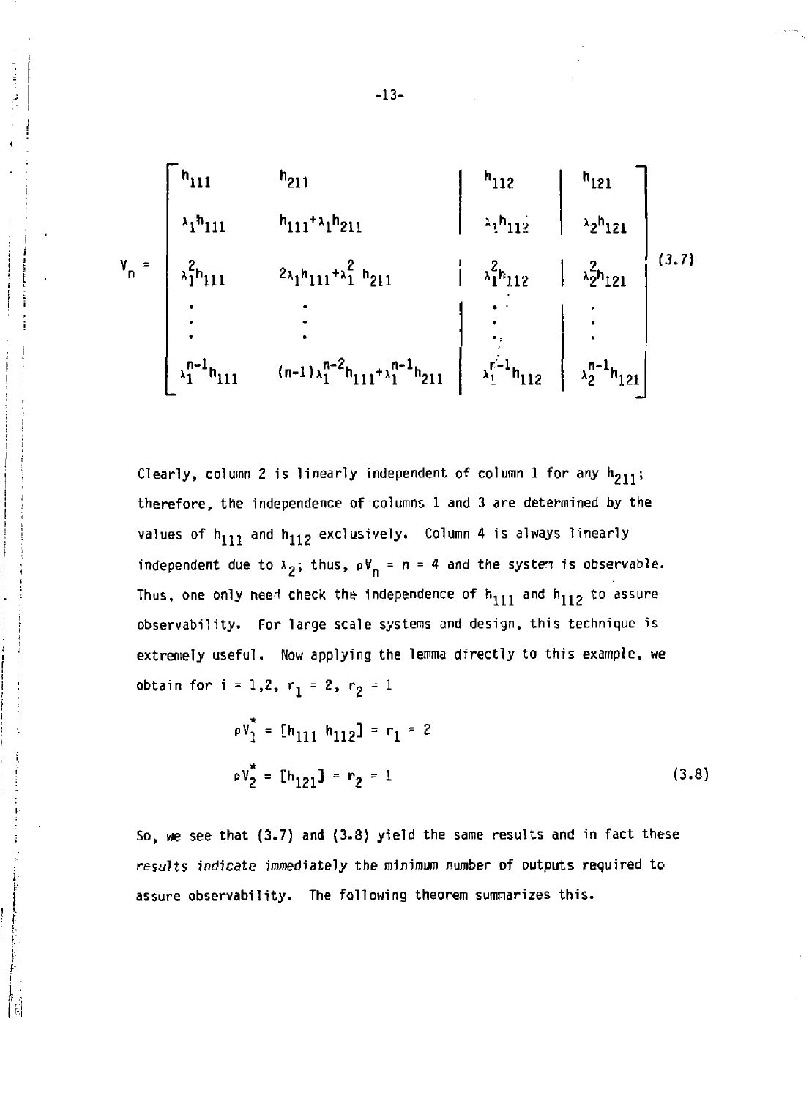$$
v_{n} = \begin{bmatrix}\nh_{111} & h_{211} & h_{111} + \lambda_{1}h_{211} & h_{112} & h_{121} \\
\lambda_{1}h_{111} & h_{111} + \lambda_{1}h_{211} & \lambda_{1}h_{112} & \lambda_{2}h_{121} \\
\lambda_{2}^{2}h_{111} & 2\lambda_{1}h_{111} + \lambda_{1}^{2}h_{211} & \lambda_{1}^{2}h_{112} & \lambda_{2}^{2}h_{121} \\
\vdots & \vdots & \ddots & \vdots \\
\lambda_{1}^{n-1}h_{111} & (n-1)\lambda_{1}^{n-2}h_{111} + \lambda_{1}^{n-1}h_{211} & \lambda_{1}^{n-1}h_{112} & \lambda_{2}^{n-1}h_{121}\n\end{bmatrix} (3.7)
$$

Clearly, column 2 is linearly independent of column 1 for any  $h_{211}$ ; therefore, the independence of columns 1 and 3 are determined by the values of  $h_{111}$  and  $h_{112}$  exclusively. Column 4 is always linearly independent due to  $\lambda_2$ ; thus,  $pV_n = n = 4$  and the system is observable. Thus, one only need check the independence of  $h_{111}$  and  $h_{112}$  to assure observability. For large scale systems and design, this technique is extremely useful. How applying the lemma directly to this example, we obtain for  $i = 1, 2, r_1 = 2, r_2 = 1$ 

$$
\rho V_1^* = [h_{111} h_{112}] = r_1 = 2
$$
  
\n
$$
\rho V_2^* = [h_{121}] = r_2 = 1
$$
 (3.8)

So, we see that (3.7) and (3.8) yield the same results and in fact these *results* indicate inmediately the minimum number of outputs required to assure observability. The following theorem summarizes this.

Ť.

**-13-**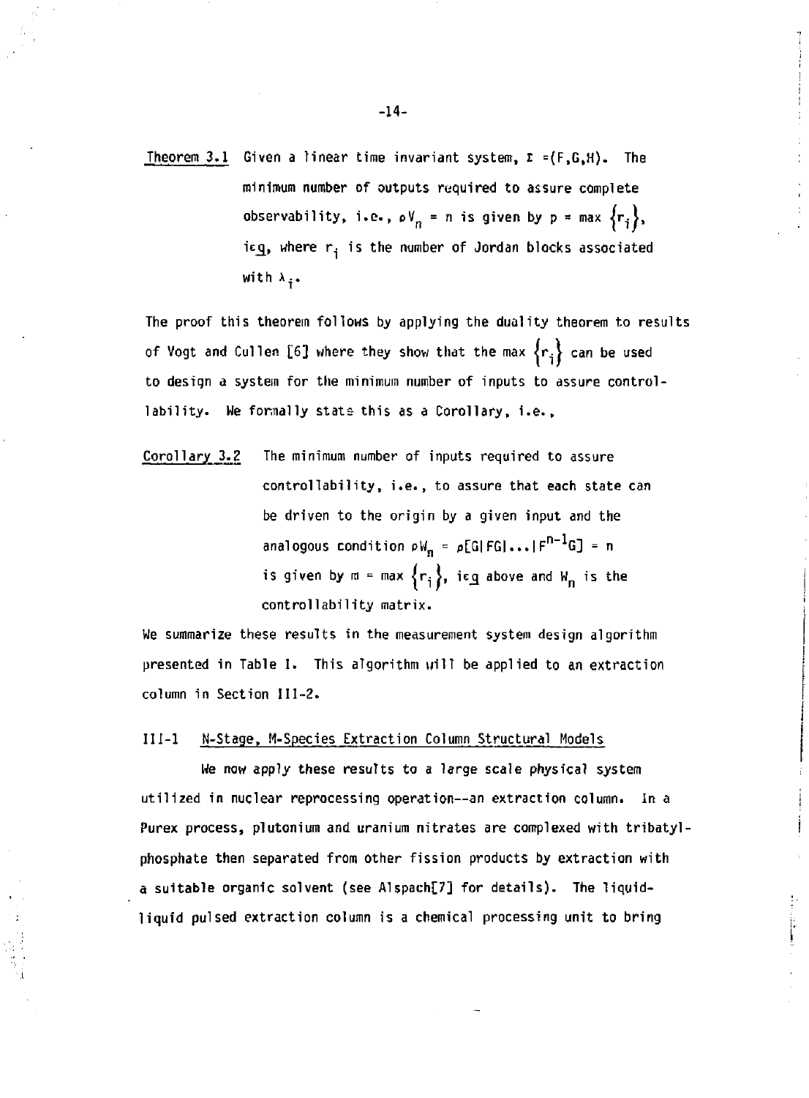**Theorem 3.1 Given a linear time invariant system, I =(F,G,H). The minimum number of outputs required to assure complete observability, i.e.,**  $\alpha V_n = n$  **is given by**  $p = max \{r_i\}$ **,** icg, where r<sub>i</sub> is the number of Jordan blocks associated **with x..** 

**The proof this theorem follows by applying the duality theorem to results of Vogt and Cullen [6] where they show that the max** *lr.\* **can be used to design a system for the minimum number of inputs to assure control**lability. We formally state this as a Corollary, i.e.,

**Corollary 3.2 The minimum number of inputs required to assure controllability, i.e., to assure that each state can be driven to the origin by a given input and the**  analogous condition  $pW_n = p[G|FG|...|F^{n-1}G] = n$ is given by  $m = max \{r_i\}$ , ieg above and W<sub>n</sub> is the **controllability matrix.** 

**We summarize these results in the measurement system design algorithm presented in Table I. This algorithm will be applied to an extraction column in Section 111-2.** 

#### **III-l N-Stage, M-Species Extraction Column Structural Models**

**We now apply these results to a large scale physical system utilized in nuclear reprocessing operation—an extraction column. In a**  Purex process, plutonium and uranium nitrates are complexed with tribatyl**phosphate then separated from other fission products by extraction with a suitable organic solvent (see Alspach[7] for details). The liquidliquid pulsed extraction column is a chemical processing unit to bring** 

ľ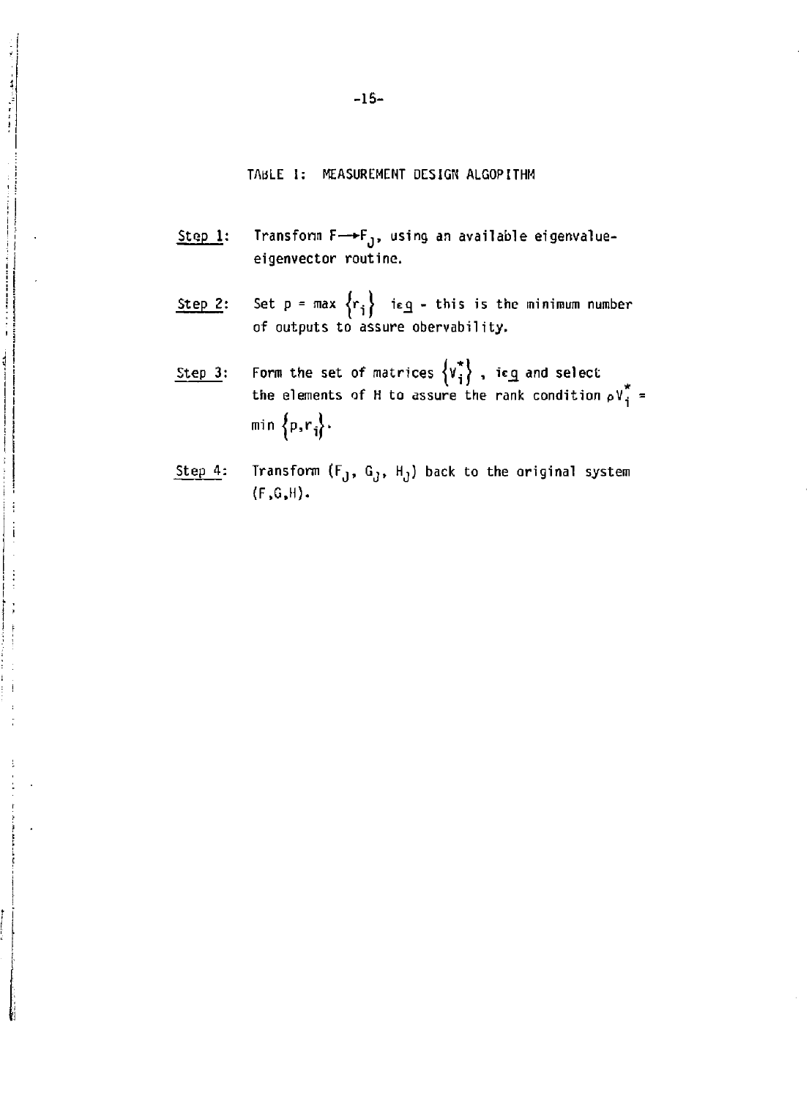#### TABLE 1: MEASUREMENT DESIGN ALGOPITHM

- Step 1: Transform  $F \rightarrow F_{1}$ , using an available eigenvalueeigenvector routine.
- Step 2: Set p = max  $\{r_i\}$  ieg this is the minimum number of outputs to assure obervability.
- Step 3: Form the set of matrices  $\{V_i\}$ , is $q$  and select the elements of H to assure the rank condition  $\rho\mathsf{V}_i$ min  $\{p,r_i\}$ .
- Step 4: Transform  $(F_J, G_J, H_J)$  back to the original system (F.G.H).

 $\begin{aligned} \mathcal{L}^{\text{max}}_{\text{max}}(\mathbf{r},\mathbf{r}) = \mathcal{L}^{\text{max}}_{\text{max}}(\mathbf{r},\mathbf{r}) \end{aligned}$ 

 $\frac{1}{2}$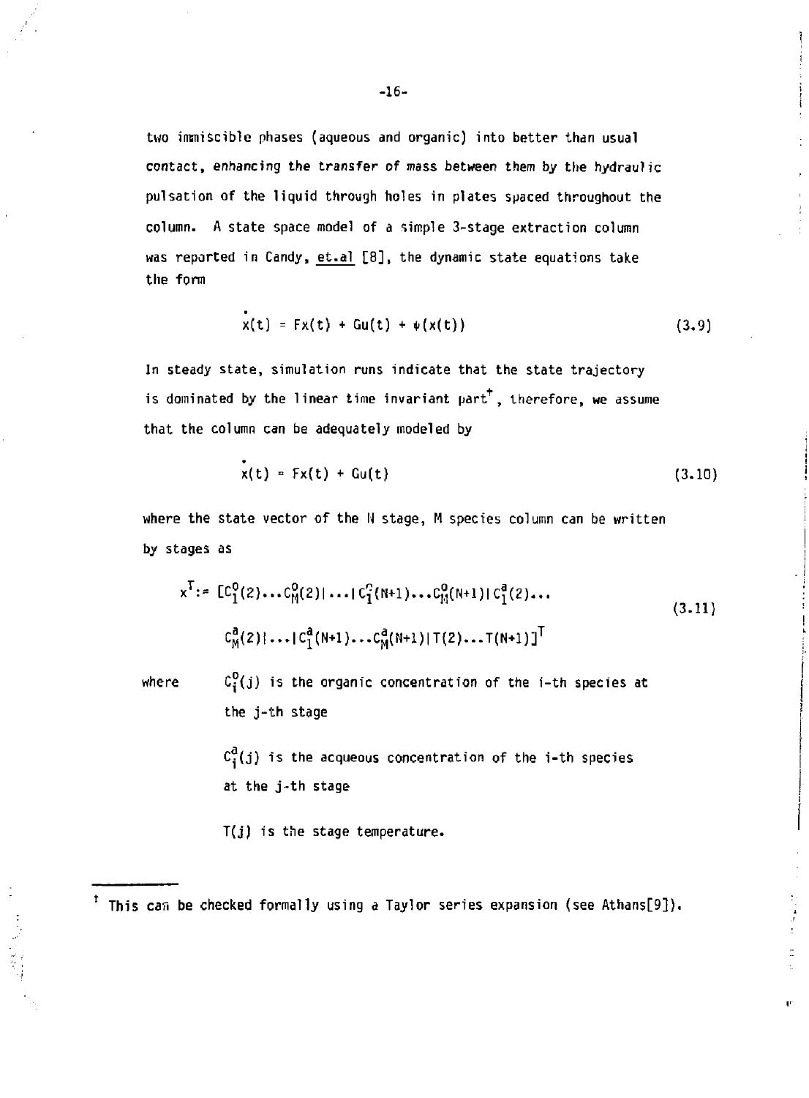**two immiscible phases (aqueous and organic) into better than usual contact, enhancing the transfer of mass between them by the hydraulic pulsation of the liquid through holes in plates spaced throughout the column. A state space model of a simple 3-stage extraction column was reported in Candy, et.al [8], the dynamic state equations take the form** 

$$
x(t) = Fx(t) + Gu(t) + \psi(x(t))
$$
 (3.9)

**In steady state, simulation runs indicate that the state trajectory is dominated by the linear time invariant part , therefore, we assume that the column can be adequately modeled by** 

$$
x(t) = Fx(t) + Gu(t)
$$
 (3.10)

**where the state vector of the N stage, M species column can be written by stages as** 

$$
x^{T} := [C_1^{0}(2) \dots C_M^{0}(2)] \dots [C_1^{0}(N+1) \dots C_M^{0}(N+1)] [C_1^{0}(2) \dots
$$
  
\n
$$
C_M^{a}(2)! \dots [C_1^{a}(N+1) \dots C_M^{a}(N+1)] [T(2) \dots T(N+1)]^{T}
$$
\n(3.11)

where  $C_i^0(j)$  is the organic concentration of the *i*-th species at **the j-th stage** 

> $c_i^d(j)$  is the acqueous concentration of the *i*-th species **at the j-th stage**

**T(j) is the stage temperature.** 

**This can be checked formally using a Taylor series expansion (see Athans[9]).**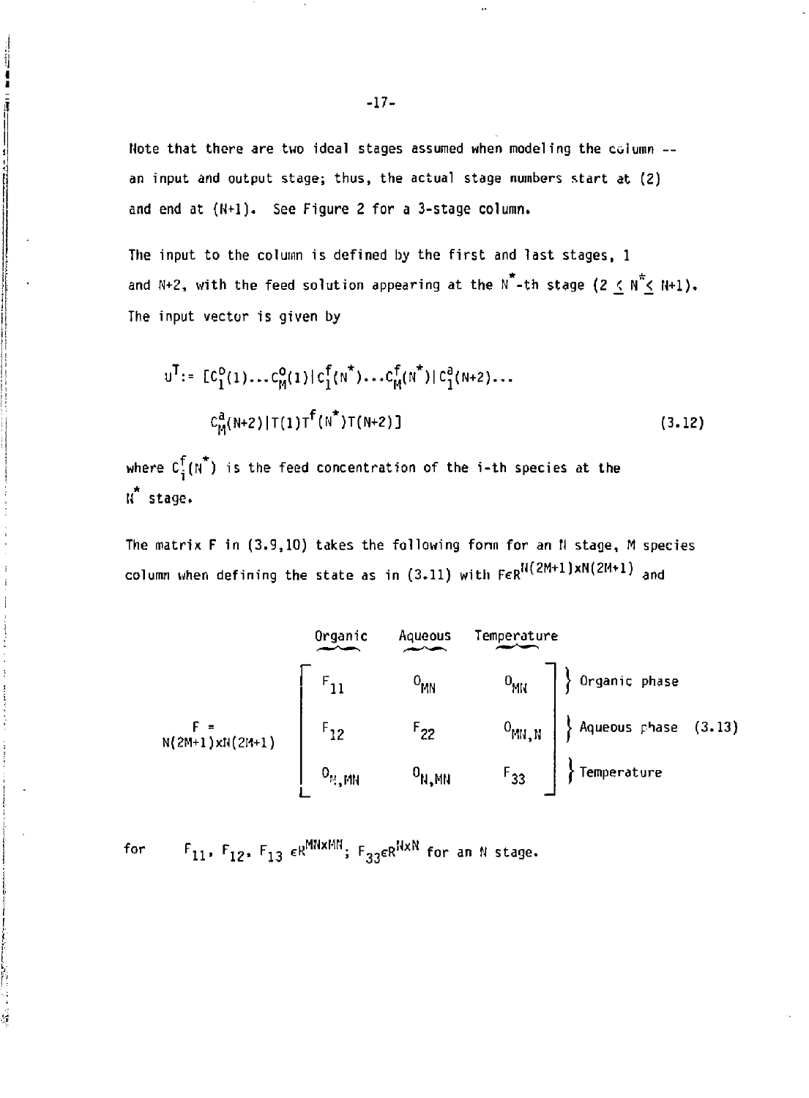**Note that there are two ideal stages assumed when modeling the column - an input and output stage; thus, the actual stage numbers start at (2) and end at (N+l). See Figure 2 for a 3-stage column.** 

**The input to the column is defined by the first and last stages, 1**  and N+2, with the feed solution appearing at the N<sup>\*</sup>-th stage (2  $\leq$  N<sup>\*</sup> $\leq$  N+1). **The input vector is given by** 

$$
u^{T} := [C_{1}^{0}(1)...C_{M}^{0}(1)|C_{1}^{T}(N^{*})...C_{M}^{T}(N^{*})|C_{1}^{a}(N+2)...
$$
  

$$
C_{M}^{a}(N+2)|T(1)T^{f}(N^{*})T(N+2)]
$$
 (3.12)

where  $C_i^f(N^*)$  is the feed concentration of the *i*-th species at the **K stage.** 

The matrix F in (3.9,10) takes the following form for an N stage, M species column when defining the state as in (3.11) with  $\mathsf{FcR^{H}}(\mathsf{ZMT1})$ xN( $\mathsf{ZHT1})$  and



**for F <sup>n</sup> , F 1 2 , F <sup>1</sup> <sup>3</sup>** *£R m \* m ; f^\* "* **for an N stage.**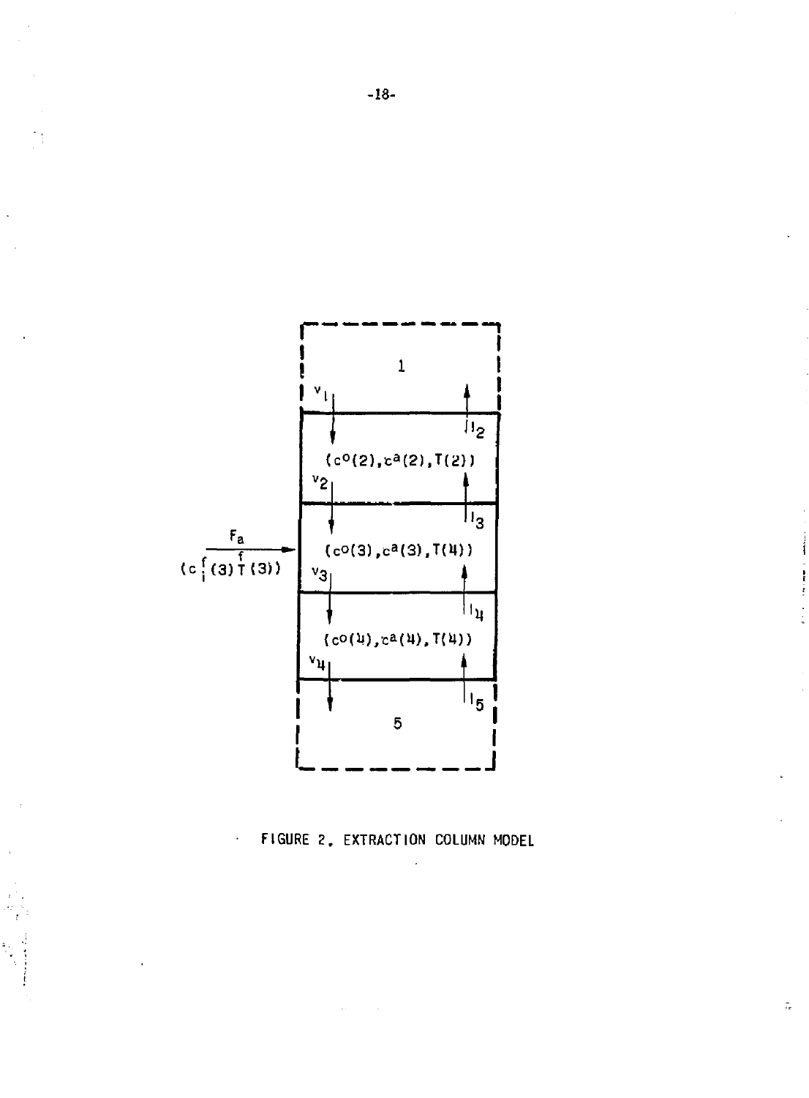$\ddot{\phantom{0}}$  :



FIGURE 2. EXTRACTION COLUMN MODEL

 $\hat{\pi}$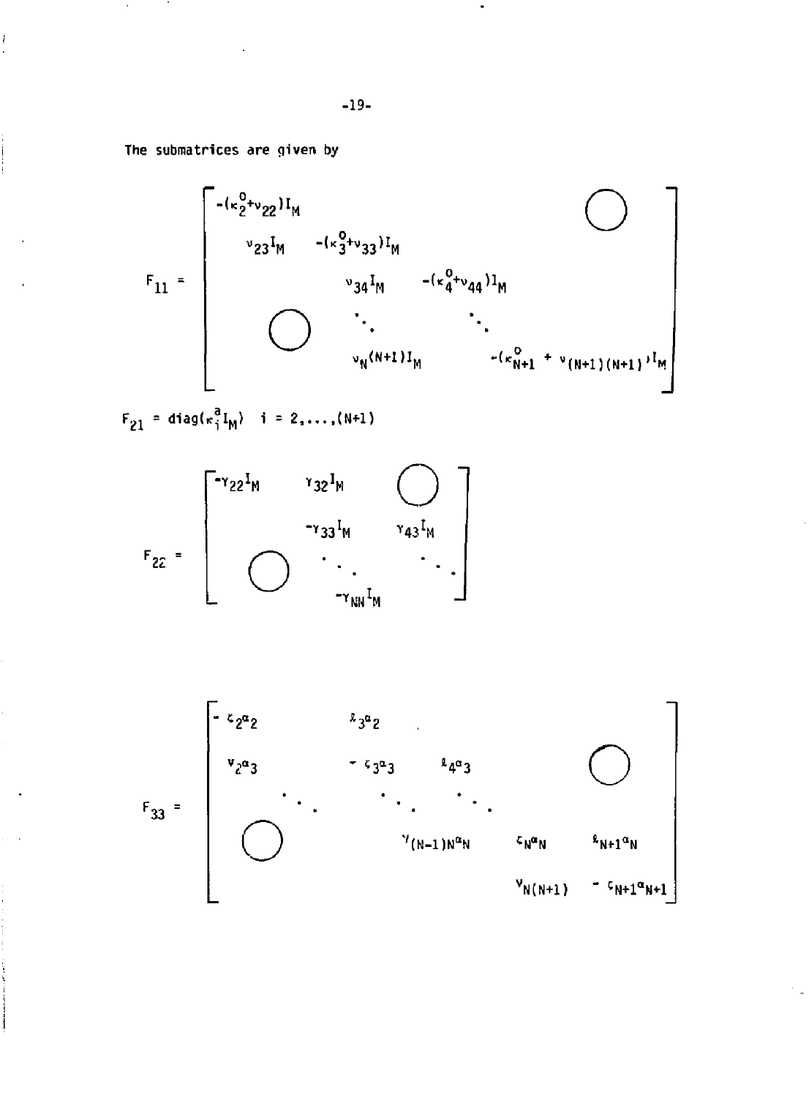The submatrices are given by

ł

$$
F_{11} = \begin{bmatrix} -(\kappa_{2}^{0} + \nu_{22})I_{M} & & & & \\ \nu_{23}I_{M} & -(\kappa_{3}^{0} + \nu_{33})I_{M} & & & \\ & \nu_{34}I_{M} & -(\kappa_{4}^{0} + \nu_{44})I_{M} & & \\ & \ddots & \ddots & \ddots & \\ & & \nu_{N}(N+1)I_{M} & -(\kappa_{N+1}^{0} + \nu_{(N+1)(N+1)})I_{M} \end{bmatrix}
$$

 $F_{21} = diag(\kappa_1^a I_M)$  i = 2,...,(N+1)

$$
F_{ZZ} = \left[\begin{array}{ccc} r_{32}I_M & r_{32}I_M & & \cdots & r_{43}I_M \\ & & r_{33}I_M & r_{43}I_M \\ & \ddots & \ddots & \ddots \\ & & & r_{NN}I_M & \end{array}\right]
$$

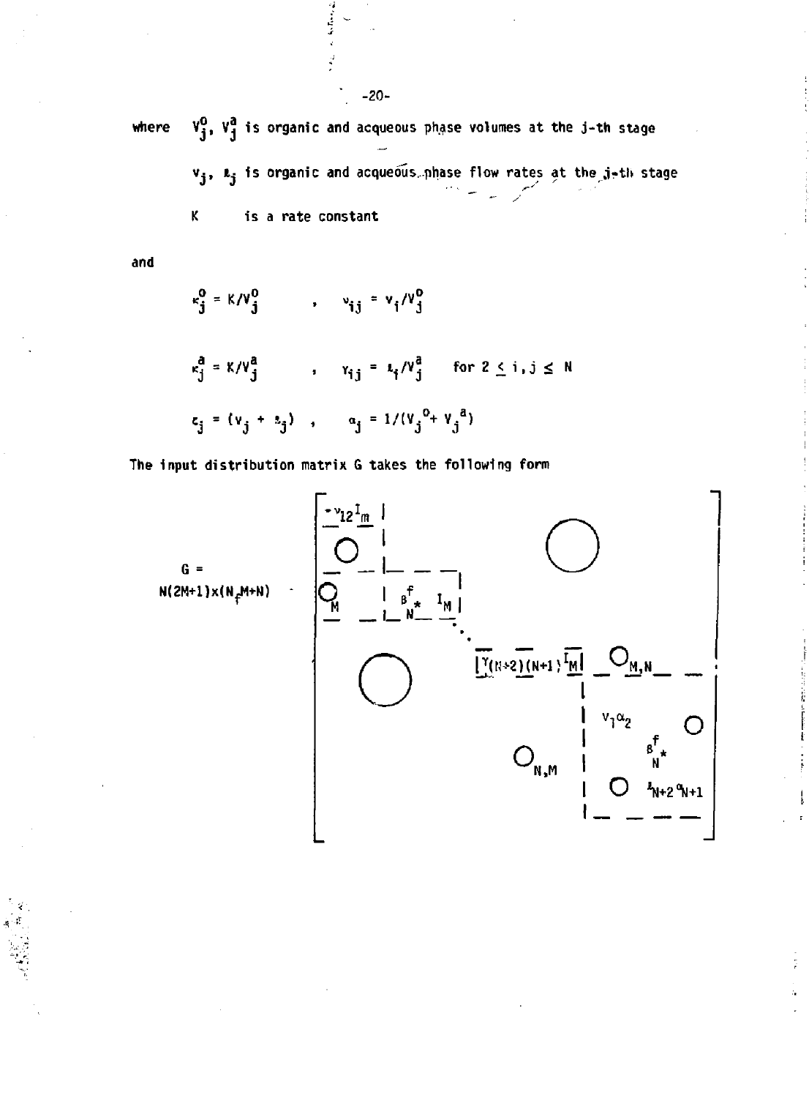$V_3^0$ ,  $V_3^a$  is organic and acqueous phase volumes at the j-th stage where  $v_j$ ,  $v_j$  is organic and acqueous phase flow rates at the j-th stage

> K. is a rate constant

and

$$
c_j^0 = \kappa/v_j^0 \qquad , \qquad v_{ij} = v_j/v_j^0
$$

$$
\kappa_j^a = K/V_j^a \qquad , \qquad \gamma_{ij} = \kappa_j/V_j^a \qquad \text{for } 2 \le i, j \le N
$$
  

$$
\kappa_j = (\nu_j + \kappa_j) \qquad \alpha_j = 1/(V_j^0 + V_j^a)
$$

The input distribution matrix G takes the following form



 $-20-$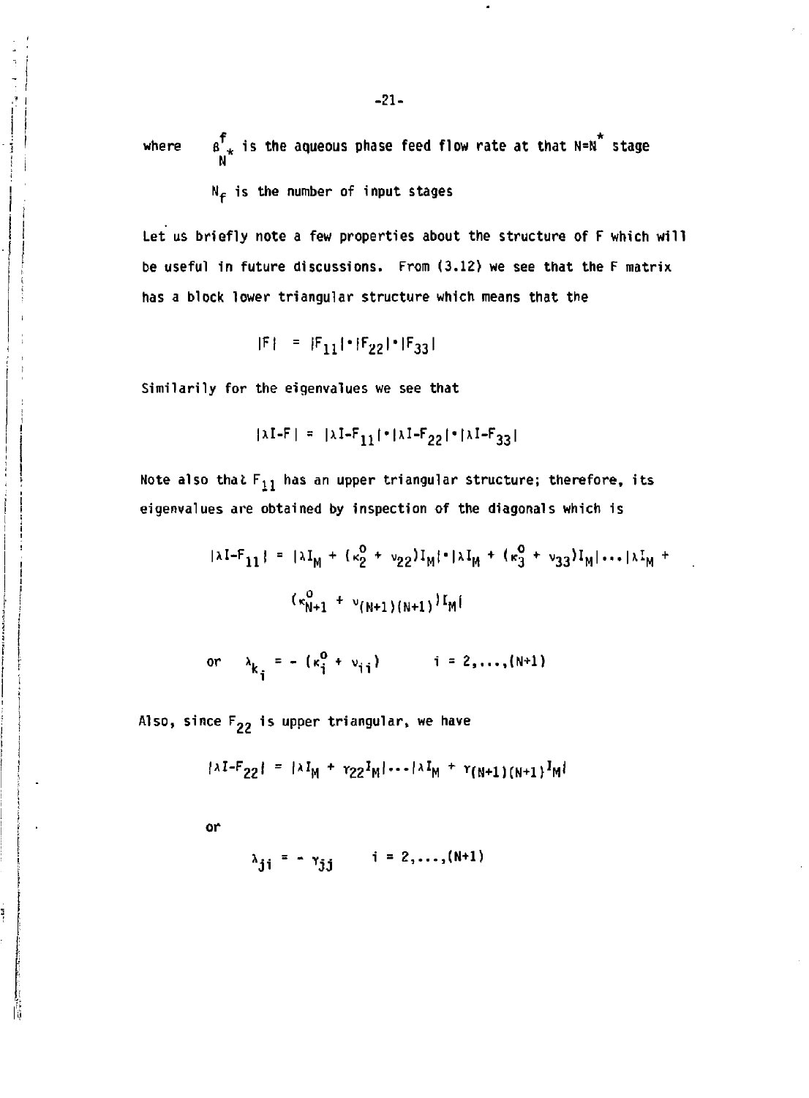$f$  is the coveque phase food flow nate at that N-N  $\star$ where a <sub>*i*</sub> is the aqueous phase feed flow rate at that N=N stage

 $N_f$  is the number of input stages

Let us briefly note a few properties about the structure of F which will be useful in future discussions. From (3.12) we see that the F matrix has a block lower triangular structure which means that the

$$
|F| = |F_{11}| \cdot |F_{22}| \cdot |F_{33}|
$$

Similarily for the eigenvalues we see that

$$
|\lambda I - F| = |\lambda I - F_{11}| \cdot |\lambda I - F_{22}| \cdot |\lambda I - F_{33}|
$$

Note also that  $F_{11}$  has an upper triangular structure; therefore, its eigenvalues are obtained by inspection of the diagonals which is

$$
|\lambda I - F_{11}| = |\lambda I_M + (\kappa_2^0 + \nu_{22})I_M| \cdot |\lambda I_M + (\kappa_3^0 + \nu_{33})I_M| \cdots |\lambda I_M + (\kappa_{N+1}^0 + \nu_{(N+1)(N+1)})I_M|
$$

or 
$$
\lambda_{k_i} = - ( \kappa_i^0 + \nu_{i,i} )
$$
   
  $i = 2,...,(N+1)$ 

Also, since  $F_{22}$  is upper triangular, we have

$$
\{\lambda I - F_{22}\} = \{\lambda I_M + \gamma_{22} I_M \} \cdots \{\lambda I_M + \gamma_{(N+1)(N+1)} I_M\}
$$

or

š

$$
\lambda_{\mathbf{j}\mathbf{i}} = -\gamma_{\mathbf{j}\mathbf{j}} \qquad \mathbf{i} = 2, \dots, (\mathbf{N} + \mathbf{1})
$$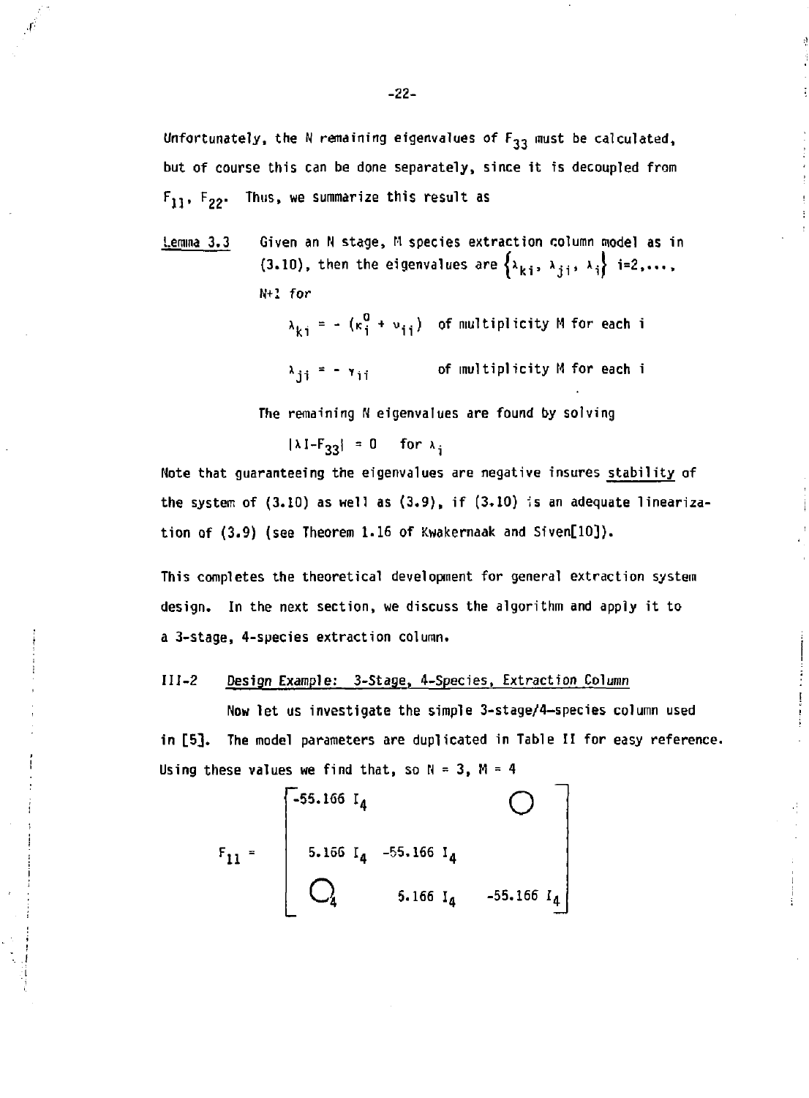**Unfortunately, the N remaining eigenvalues of F <sup>3</sup> <sup>3</sup> must be calculated, but of course this can be done separately, since it is decoupled from FJJ, Fpj- Thus, we summarize this result as** 

**Lemma 3.3 Given an N stage, M species extraction column model as in**  (3.10), then the eigenvalues are  $\{x_{ki}, x_{ji}, x_i\}$  i=2,..., N+l for

> $\lambda_{ki}$  = - ( $\kappa_{i}^{2}$  +  $\nu_{ij}$ ) of multiplicity M for each i  $\lambda_{\texttt{ji}}$  = -  $\lambda_{\texttt{ji}}$  of multiplicity M for each i

The remaining N eigenvalues are found by solving

 $|\lambda I - F_{33}| = 0$  for  $\lambda_i$ 

Note that guaranteeing the eigenvalues are negative insures stability of the system of  $(3.10)$  as well as  $(3.9)$ , if  $(3.10)$  is an adequate linearization of (3.9) (see Theorem 1.16 of Kwakernaak and Siven[10]).

This completes the theoretical development for general extraction system design. In the next section, we discuss the algorithm and apply it to a 3-stage, 4-species extraction column.

#### 111—2 Design Example: 3-Stage, 4-Species, Extraction Column

Now let us investigate the simple 3-stage/4-species column used in [5]. The model parameters are duplicated in Table II for easy reference. Using these values we find that, so  $N = 3$ ,  $M = 4$ 

r l l -55.166 I. **o**  5.166 I <sup>4</sup> -55.166 I <sup>4</sup> Q 5.166 I <sup>4</sup> -55.166 I <sup>4</sup>

Æ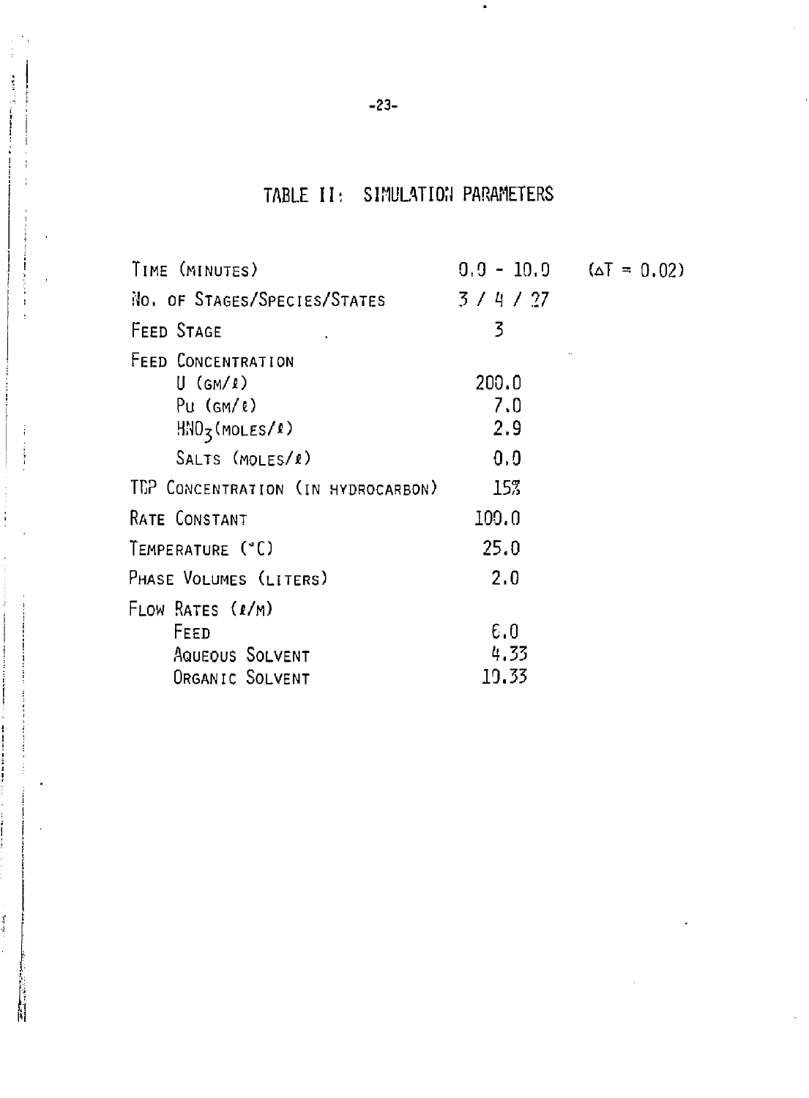# TABLE II: SIMULATION PARAMETERS

| TIME (MINUTES)                                                 | $0.9 - 10.9$ $(AT = 0.02)$ |  |
|----------------------------------------------------------------|----------------------------|--|
| No. OF STAGES/SPECIES/STATES                                   | 3/4/27                     |  |
| FEED STAGE                                                     | 3                          |  |
| FEED CONCENTRATION<br>$U$ (GM/ $\ell$ )<br>$Pu (GM/\ell)$      | 200.0<br>7.0<br>2.9        |  |
| $HNO5$ (MOLES/1)<br>SALTS (MOLES/1)                            | 0,0                        |  |
| TEP CONCENTRATION (IN HYDROCARBON)                             | 15%                        |  |
| RATE CONSTANT                                                  | 100.0                      |  |
| TEMPERATURE (°C)                                               | 25.0                       |  |
| PHASE VOLUMES (LITERS)                                         | 2.0                        |  |
| FLOW RATES (1/M)<br>FEED<br>AQUEOUS SOLVENT<br>ORGANIC SOLVENT | 6.0<br>4.33<br>19.33       |  |
|                                                                |                            |  |

 $\mathbf{r}$  is compared to  $\mathbf{q}_{\text{max}}$  and

ł

 $\frac{1}{2}$ 

i

֧֧֧֧֧֧֦֧ׅ֧ׅ֧ׅ֧ׅ֧ׅ֧ׅ֧֛֛֪֛֛֚֚֚֓֘֝֬֘֝֬֝֬֜֜֜֜֜֜֓֜<br>֧֧֧֧֧֪ׅ֧ׅ֧֧֪ׅ֧ׅ֧֪ׅ֧֛֪֪֪֪֪֪֪֪֪֪֪֪֪֪֪֪֪ׅ֛֪֪֪ׅ֛֚֚֚֚֚֚֚֚֚֚֝֩֘֩֘֘֘֩֘֜֜

 $\sim$  -denoted.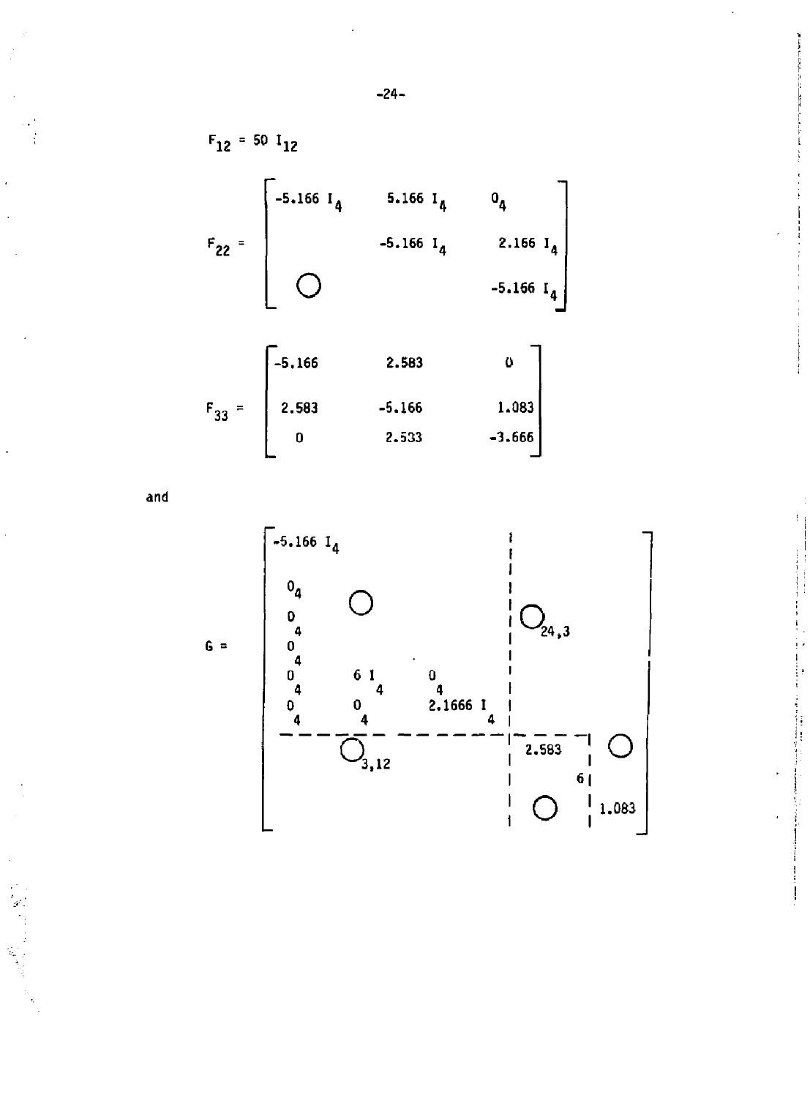$$
F_{12} = 50 \t1_{12}
$$
\n
$$
F_{22} = \begin{bmatrix}\n-5.166 \t1_{4} & 5.166 \t1_{4} & 0_{4} \\
-5.166 \t1_{4} & 2.166 \t1_{4} \\
0 & -5.166 \t1_{4}\n\end{bmatrix}
$$
\n
$$
F_{22} = \begin{bmatrix}\n-5.166 & 2.583 & 0\n\end{bmatrix}
$$

| $F_{33}$<br>$=$ | 2.583 | $-5,166$ | 1.083    |
|-----------------|-------|----------|----------|
|                 |       | 2.533    | $-3.666$ |

and



i<br>!

 $-24-$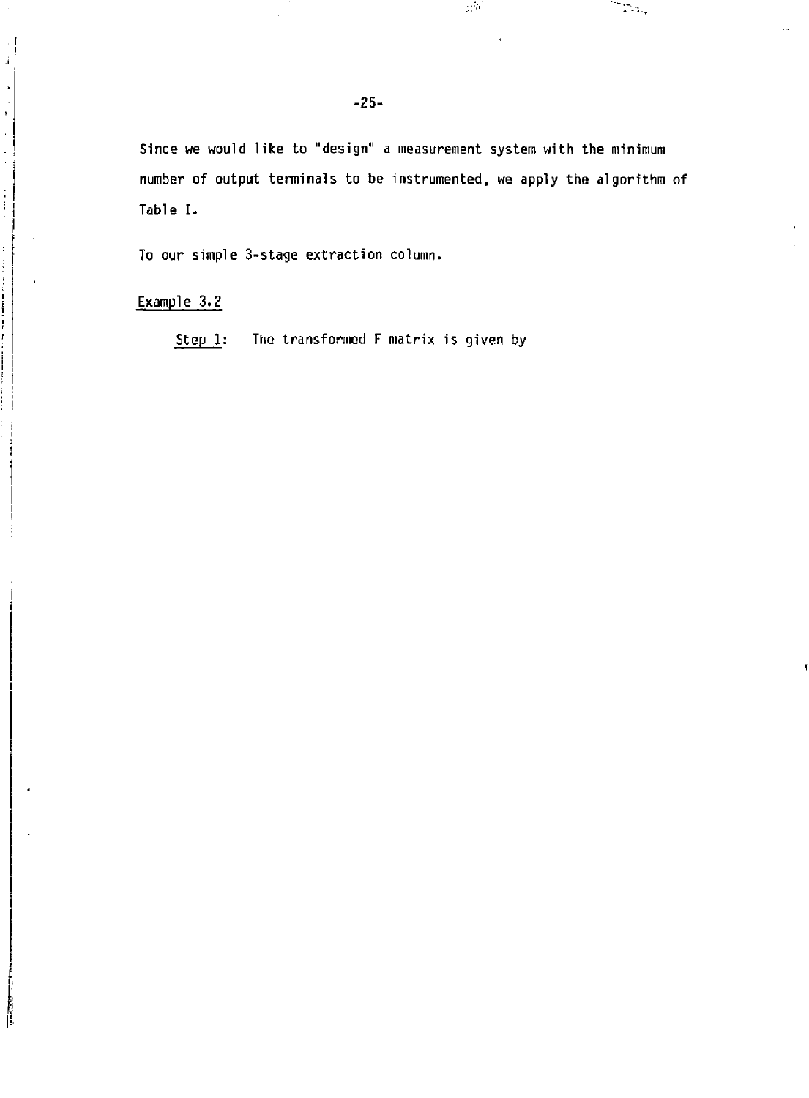Since we would like to "design" a measurement system with the minimum number of output terminals to be instrumented, we apply the algorithm of Table I.

 $\mathbb{R}^{d_{\mathrm{F}}}$ 

ಾಣ್ಕ

To our simple 3-stage extraction column.

Example 3.2

**i** 

 $\mathbf{j}$ 

 $\frac{1}{2}$ 

**Step 1: The transformed F matrix is given by**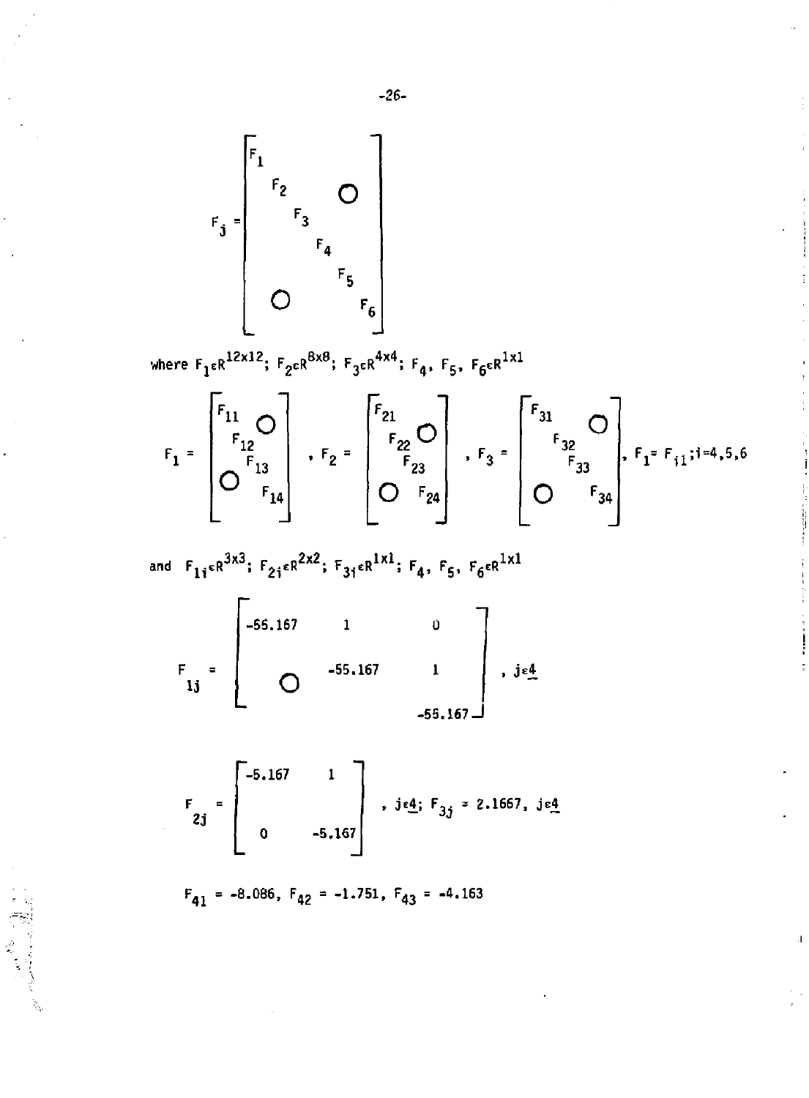where  $F_1 \epsilon R^{12x12}$ ;  $F_2 \epsilon R^{8x8}$ ;  $F_3 \epsilon R^{4x4}$ ;  $F_4$ ,  $F_5$ ,  $F_6 \epsilon R^{1x1}$ 

$$
F_{1} = \begin{bmatrix} F_{11} & 0 \\ F_{12} & 0 \\ 0 & F_{14} \\ 0 & F_{14} \end{bmatrix} \quad , \quad F_{2} = \begin{bmatrix} F_{21} & 0 \\ F_{22} & 0 \\ F_{23} & 0 \\ 0 & F_{24} \end{bmatrix} \quad , \quad F_{3} = \begin{bmatrix} F_{31} & 0 \\ F_{32} & 0 \\ F_{33} & F_{34} \\ 0 & F_{34} \end{bmatrix}, \quad F_{1} = F_{11}; i = 4, 5, 6
$$

and 
$$
F_{1i} \in R^{3x3}
$$
;  $F_{2i} \in R^{2x2}$ ;  $F_{3i} \in R^{1x1}$ ;  $F_4$ ,  $F_5$ ,  $F_6 \in R^{1x1}$ 

$$
F_{1j} = \begin{bmatrix} -55.167 & 1 & 0 \\ 0 & -55.167 & 1 \\ 0 & 0 & -55.167 \end{bmatrix}, j \in \underline{4}
$$

$$
F_{2j} = \begin{bmatrix} -5.167 & 1 \\ 0 & -5.167 \end{bmatrix}, j \in \underline{4}; F_{3j} = 2.1667, j \in \underline{4}
$$

$$
F_{41} = -8.086
$$
,  $F_{42} = -1.751$ ,  $F_{43} = -4.163$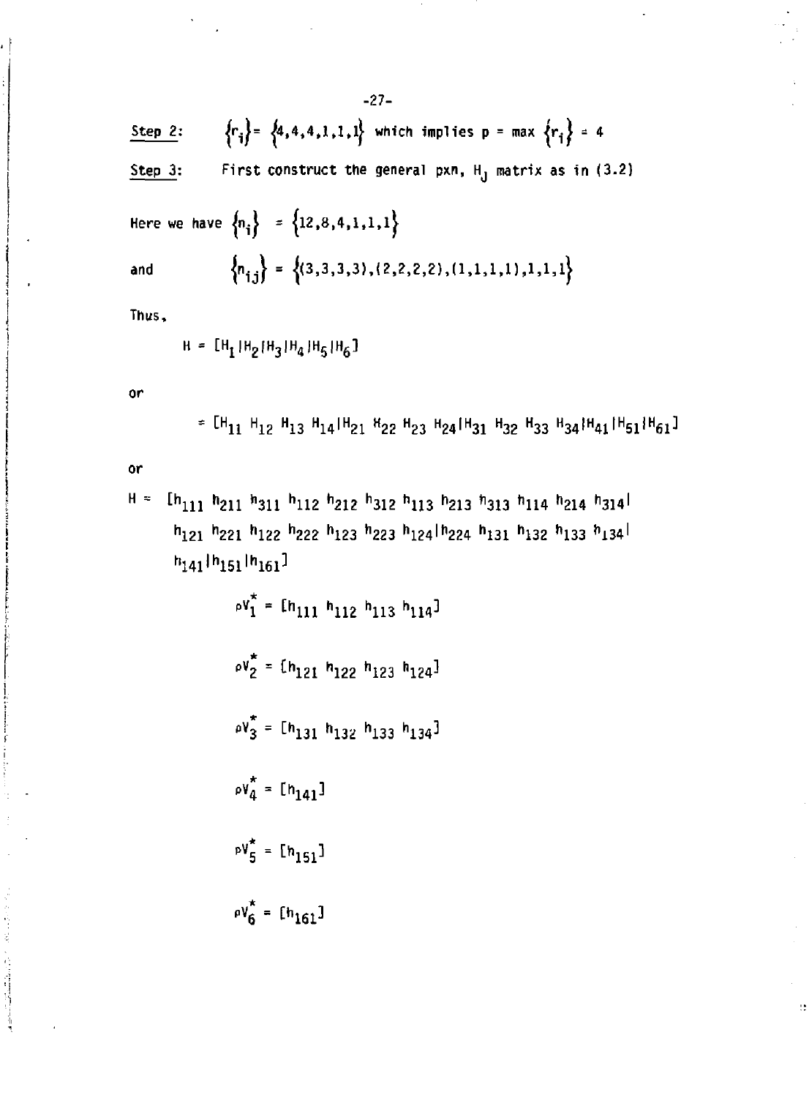$$
-27-
$$
  
\nStep 2: { $r_i$ } = { $a, 4, 4, 1, 1, 1$ } which implies p = max { $r_i$ } = 4  
\nStep 3: First construct the general pxn, H<sub>J</sub> matrix as in (3.2)  
\nHere we have { $n_i$ } = { $12, 8, 4, 1, 1, 1$ }  
\nand { $n_{i,j}$ } = {( $3, 3, 3, 3, (2, 2, 2, 2), (1, 1, 1, 1), 1, 1, 1$ }  
\nThus,  
\n $\mu = [4, 10, 10, 10, 10, 10, 10, 1]$ 

**H = [H<sup>1</sup> |HgfH<sup>3</sup> |H<sup>4</sup> )H<sup>5</sup> |H<sup>6</sup> ]** 

**or** 

11 11 12 113 114 1121 122 123 124 124 132 133 134 114

 $\Omega$ 

**or** 

2007年12月1日

 $H = [h_{111} h_{211} h_{311} h_{112} h_{212} h_{312} h_{113} h_{213} h_{313} h_{114} h_{214} h_{314}]$ **<sup>h</sup>lZl <sup>h</sup> 221 "122 <sup>h</sup> 222 <sup>n</sup> 123 <sup>h</sup> 223 <sup>h</sup> 124'<sup>h</sup> 224 <sup>n</sup> 131 <sup>n</sup> 132 <sup>h</sup> 133 <sup>h</sup> i34<sup>l</sup> H <sup>141</sup> | h <sup>151</sup> l h <sup>161</sup> ]** 

> $\mathbf{p} \mathbf{v}_1^* = [n_{111} \ n_{112} \ n_{113} \ n_{114}]$  $\rho V_2^* = \{h_{121} h_{122} h_{123} h_{124}\}$  $P = \begin{bmatrix} h_{131} & h_{132} & h_{133} & h_{134} \end{bmatrix}$  $\mathbf{w}_4^* = [\mathbf{h}_{141}]$  $P V_5^* = [h_{151}]$  $pV_6^* = [h_{161}]$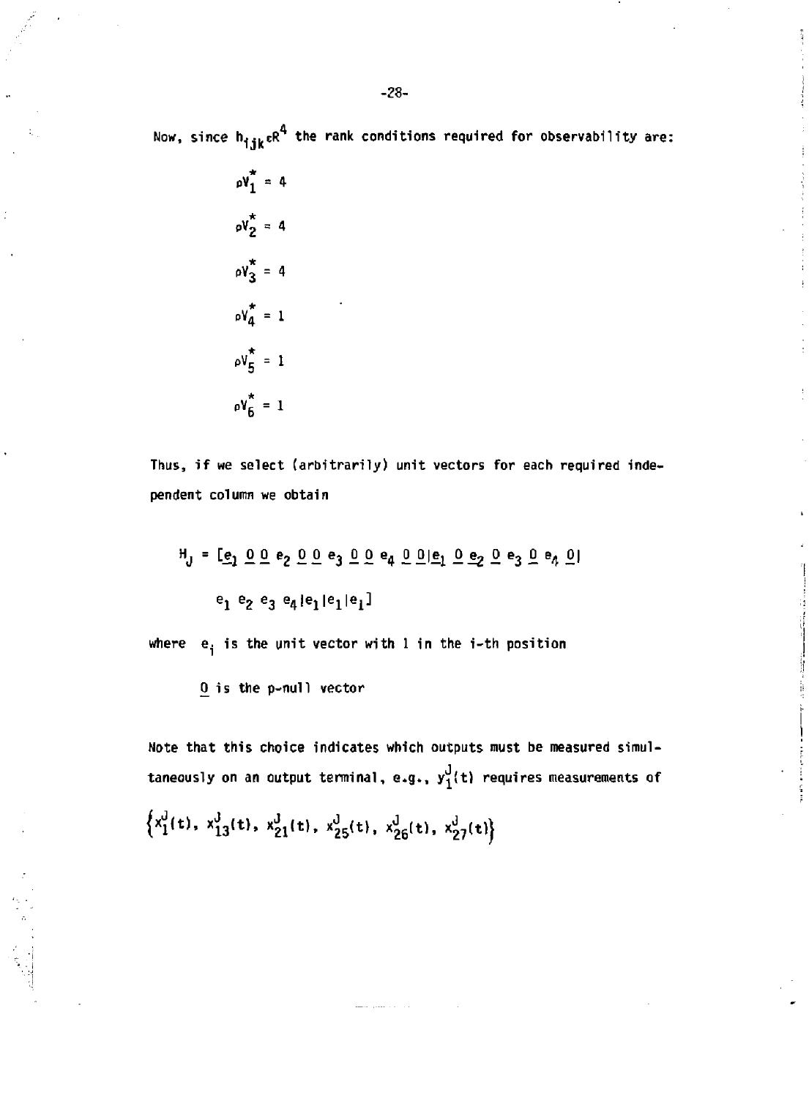Now, since h<sub>iik</sub>eR' the rank conditions required for observability are:

 $pV_1^* = 4$  $\delta v_2^* = 4$  $\omega_3^* = 4$  $p\chi^*$  = 1  $\rho V_{5}^{\star} = 1$  $\rho V_{\rm g}^{\star} = 1$ 

**Thus, if we select (arbitrarily) unit vectors for each required independent column we obtain** 

H j <sup>=</sup> *&1 9.* £<sup>e</sup> 2 0 0 e3 *0* 0 e4 *0 0]^* O^OejOe^O I  $e^{1}$   $e^{5}$   $e^{3}$   $e^{4}$   $e^{1}$   $e^{1}$   $e^{1}$ 

where  $e_i$  is the unit vector with 1 in the i-th position

() is the p-null vector

Note that this choice indicates which outputs must be measured simultaneously on an output terminal, e.g.,  $y_1^J(t)$  requires measurements of

 $\{x_1^r(t), x_{13}^r(t), x_{21}^r(t), x_{25}^r(t), x_{26}^r(t), x_{27}^r(t)\}\$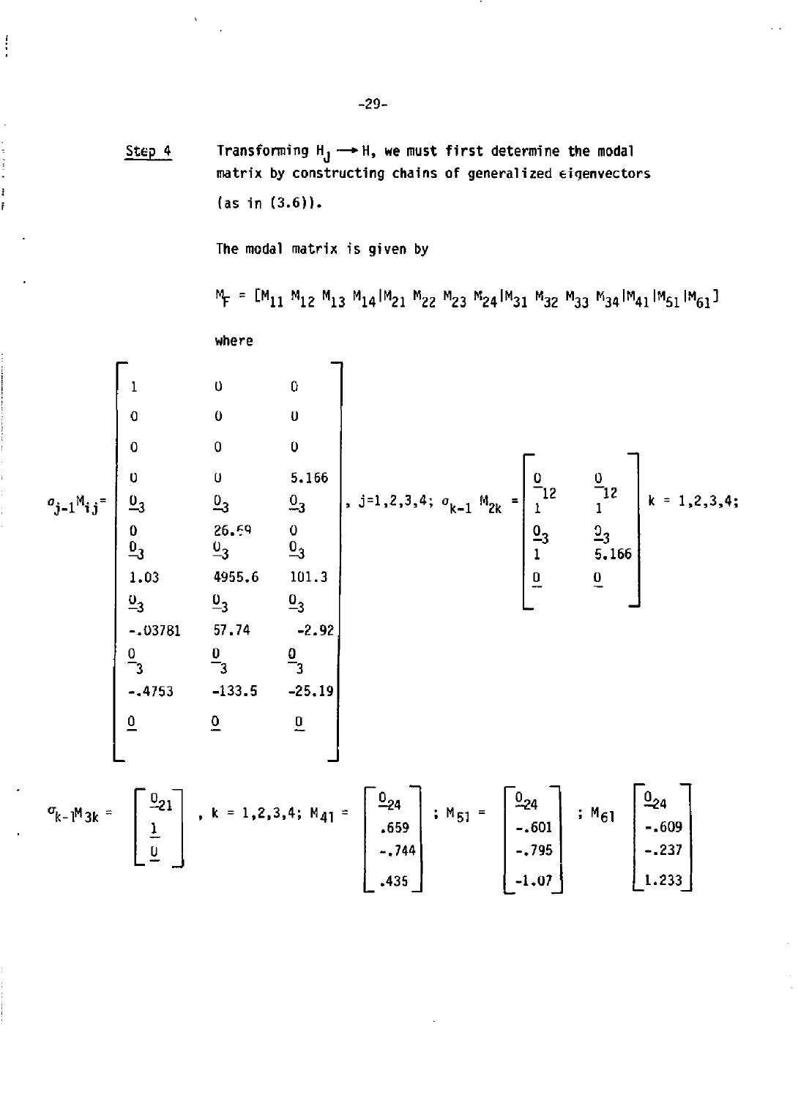**Transforming H<sub>j</sub>**  $\rightarrow$  H, we must first determine the modal Step 4 **matrix by constructing chains of generalized eigenvectors (as in (3.6)).** 

The modal matrix is given by

"12 M13 M141M21 M22 M241M31 M32 M33 M341M41 M51 M

where — 0 0 0 u 0 0  $0 \t\t 5.166$ **°3** °3 26.61  $-3$ 0  $\mathbf{z}_3$ 4955.6 101.3  $\frac{0}{3}$   $\frac{0}{3}$ 57.74 -2.92  $\overline{\mathsf{p}}$ 3  $\overline{\mathbf{0}}$ 3  $-133.5$   $-25.19$ ,  $j=1,2,3,4$ ;  $\sigma_{k-1} M_{2k} = \begin{bmatrix} -12 \\ 1 \end{bmatrix}$ 1  $\frac{0}{3}$ 1 0  $72$ 1 5.166 0 k = 1,2,3,4;

, k = 1,2,3,4;  $M_{41} = \begin{bmatrix} 0.24 \\ -24 \end{bmatrix}$ .659 -.744 .435 ;  $M_{51} = \frac{924}{51}$ -.601 -.795 -1.07 5 <sup>M</sup> 6 l  $\frac{0}{24}$ -.609 -.237 1.233

$$
f_{\rm{max}}
$$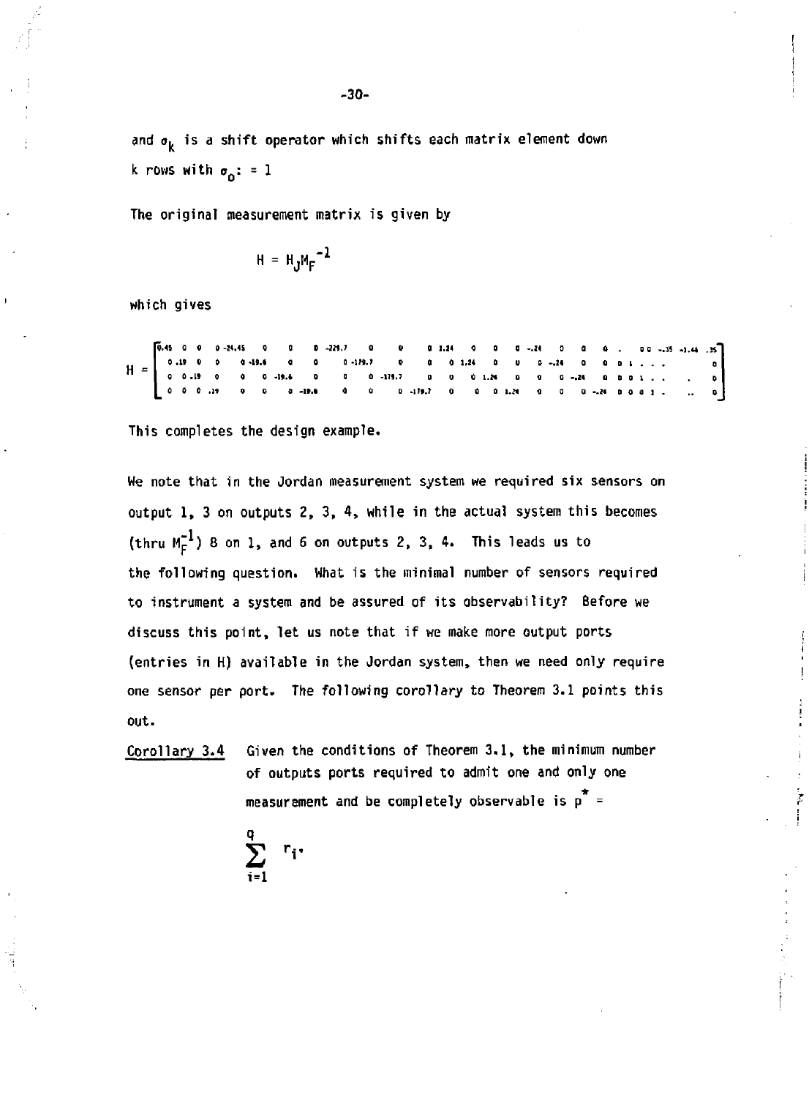and  $\sigma_k$  is a shift operator which shifts each matrix element down k rows with  $\sigma_0$ : = 1

The original measurement matrix is given by

$$
H = H_J M_F^{-1}
$$

which gives

|  |  |  |  |  |  | $[0.0.0.19.0 0.0 - 19.6 0.0 19.7 0 0 0.124 0 0 0 - 24 0 0 1]. \t\t 0$ |  |  |  |  |  |  |  |
|--|--|--|--|--|--|-----------------------------------------------------------------------|--|--|--|--|--|--|--|

This completes the design example.

We note that in the Jordan measurement system we required six sensors on output 1, 3 on outputs 2, 3, 4, while in the actual system this becomes (thru  $M_c^{-1}$ ) 8 on 1, and 6 on outputs 2, 3, 4. This leads us to the following question. What is the minimal number of sensors required to instrument a system and be assured of its observability? Before we discuss this point, let us note that if we make more output ports (entries in H) available in the Jordan system, then we need only require one sensor per port. The following corollary to Theorem 3.1 points this out.

Given the conditions of Theorem 3.1, the minimum number Corollary 3.4 of outputs ports required to admit one and only one measurement and be completely observable is  $p^* =$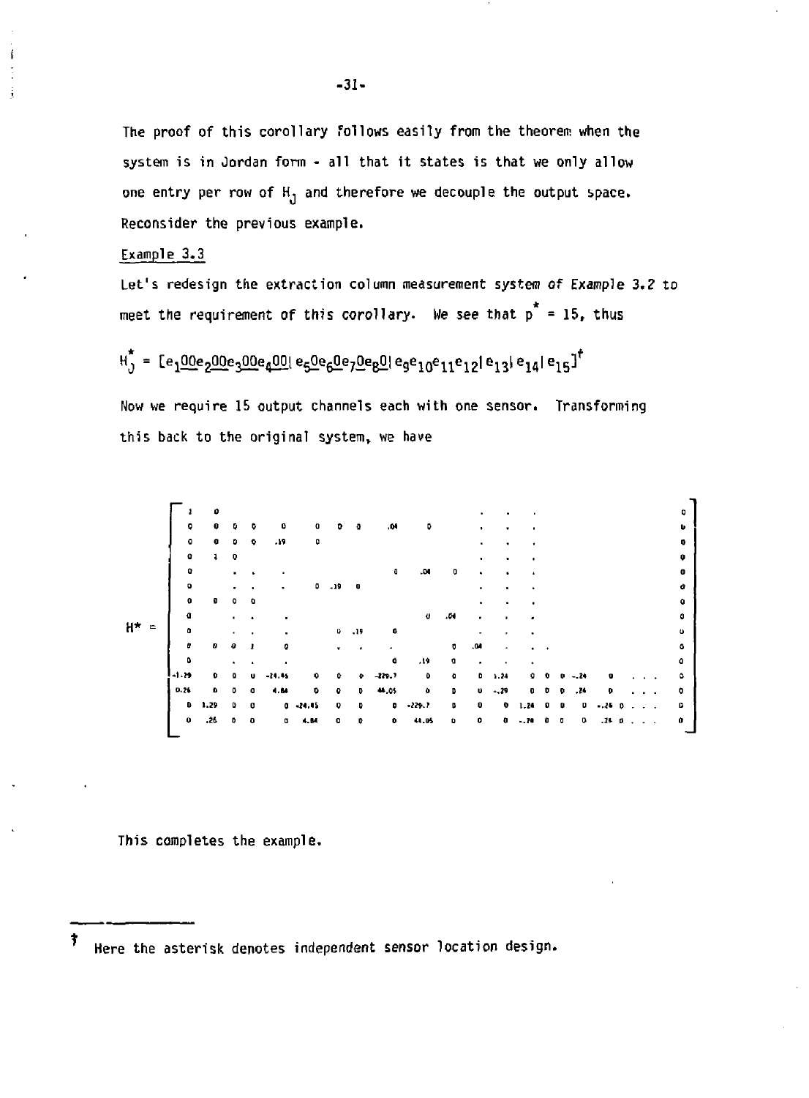**The proof of this corollary follows easily from the theorem when the system is in Jordan form - all that it states is that we only allow one entry per row of H, and therefore we decouple the output space. Reconsider the previous example.** 

#### **Example 3.3**

**Let's redesign the extraction column measurement system of Example 3.2 to**  meet the requirement of this corollary. We see that p<sup>\*</sup> = 15, thus

**<sup>H</sup> j = te <sup>1</sup> 00e <sup>2</sup> Q0e <sup>3</sup> OOe <sup>4</sup> 0Clle <sup>5</sup> O e <sup>6</sup> 0 e <sup>7</sup> ^ e <sup>B</sup> 0|ege l o e 1 1 e 1 2 | e <sup>n</sup> | e 1 4 | e 1 5 ] t** 

**Now we require 15 output channels each with one sensor. Transforming this back to the original system, we have** 

|    |   | ۰              | $\bullet$ | D.                 | ۰                    | 0         | a            | n           | Ð            | ,04      | ٥           |                    |              |         |           |                                          |   |        |           |                      |               |   |
|----|---|----------------|-----------|--------------------|----------------------|-----------|--------------|-------------|--------------|----------|-------------|--------------------|--------------|---------|-----------|------------------------------------------|---|--------|-----------|----------------------|---------------|---|
|    |   | $\bullet$      | ۰         | ۰                  | $\ddot{\phantom{0}}$ | -19       | o            |             |              |          |             |                    |              |         |           |                                          |   |        |           |                      |               |   |
|    |   | $\pmb{\alpha}$ |           | $\pmb{\mathsf{Q}}$ |                      |           |              |             |              |          |             |                    | ٠            |         |           |                                          |   |        |           |                      |               |   |
|    |   | 0              |           | ٠.                 |                      |           |              |             |              | O        | .04         | o                  | $\bullet$    |         |           |                                          |   |        |           |                      |               | п |
|    |   | $\bullet$      |           |                    |                      | ٠         | $\mathbf{D}$ | $-19$       | $\mathbf{0}$ |          |             |                    |              |         |           |                                          |   |        |           |                      |               |   |
|    |   | $\bullet$      | ۰         | ۰                  | ٠                    |           |              |             |              |          |             |                    | ٠            |         |           |                                          |   |        |           |                      |               |   |
|    |   | a              |           |                    |                      |           |              |             |              |          | €           | .01                | ٠            |         |           |                                          |   |        |           |                      |               |   |
| н* | ÷ | ۰              |           | ٠                  | ٠                    | ٠         |              |             | $0 - 19$     | ٥        |             |                    | ٠            |         | ٠         |                                          |   |        |           |                      |               |   |
|    |   | ø              | o         | e                  | ı                    | 0         |              |             |              |          |             | o                  | .01          |         |           |                                          |   |        |           |                      |               |   |
|    |   | o              |           | ٠                  | $\bullet$            |           |              |             |              | ۰        | .19         | o                  | ٠            | $\cdot$ | $\bullet$ |                                          |   |        |           |                      |               |   |
|    |   | I-1.19         | ۰         | ۰                  |                      | $-24.45$  | ۰            | ۰           | Ð            | $-279.7$ | $\mathbf 0$ | $\pmb{\mathsf{b}}$ | $\mathbf{D}$ | 1.24    | ۰         | ۰                                        | Ð | $-.24$ | ۰         |                      |               | ۵ |
|    |   | 0.26           | $\bullet$ | ٥                  | $\bullet$            | 4.54      | ۰            | ۰           | D            | 44.05    | ۰           | D.                 | $\mathbf{u}$ | $-.29$  |           | $\mathbf{p}$                             | ۰ | .24    | ۰         | $\sim$               |               | ۰ |
|    |   | $\mathbf{D}$   | 1,29      | $\mathbf 0$        | $\bullet$            |           | $0 - 14.15$  | $\mathbf Q$ | $\bullet$    | ۰        | $-229.7$    | D.                 | $\pmb{0}$    | ۰       | 1.24      | $\begin{array}{ccc} & 0 & 0 \end{array}$ |   | o      | $-.760$   | $\sim$ $\sim$ $\sim$ |               | ۵ |
|    |   | $\mathbf 0$    | .26       | ۰                  | $\mathbf{0}$         | $\bullet$ | 4.84         | $\bullet$   | 0            | ۰        | 44.U5       | ۰                  | 0            | o       | 70        | 0 <sub>0</sub>                           |   | ٥      | $.14 - 5$ |                      | $\sim$ $\sim$ | ۰ |
|    |   |                |           |                    |                      |           |              |             |              |          |             |                    |              |         |           |                                          |   |        |           |                      |               |   |

**This completes the example.** 

ŧ **Here the asterisk denotes independent sensor location design.** 

**-31**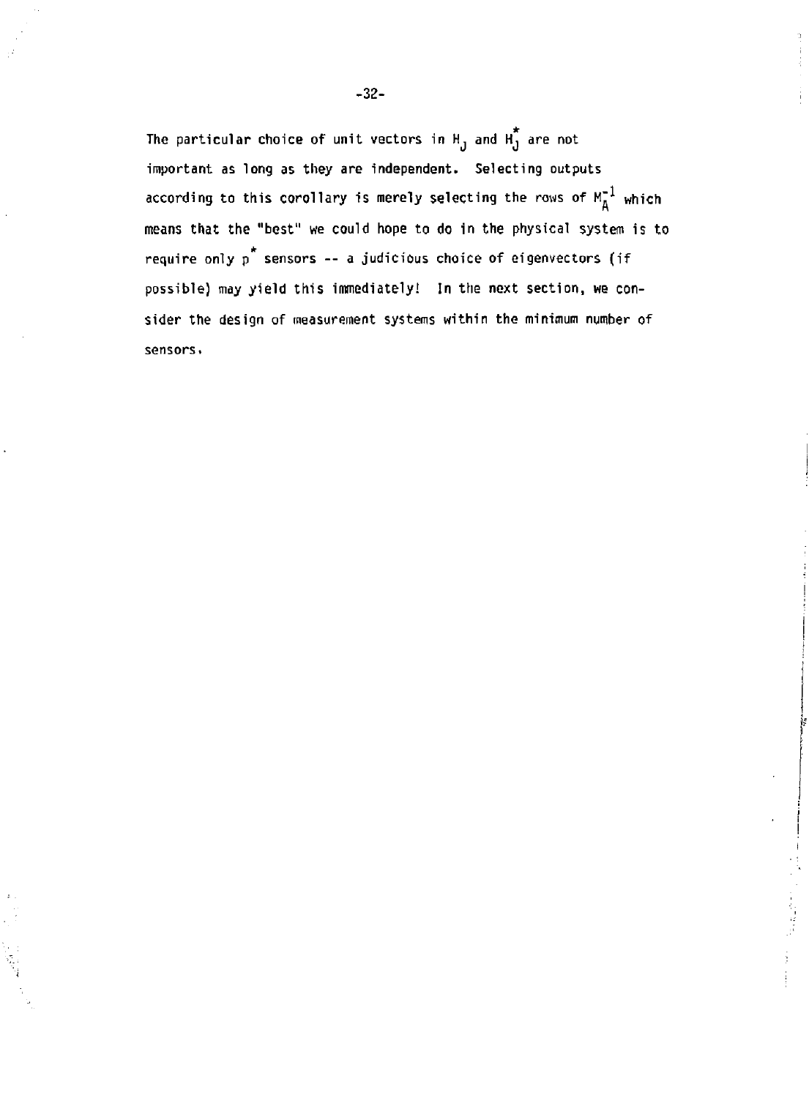The particular choice of unit vectors in H<sub>1</sub> and H<sub>1</sub> are not  $\overline{\phantom{a}}$ **important as long as they are independent. Selecting outputs according to this corollary is merely selecting the rows of M"<sup>1</sup> which means that the "best" we could hope to do in the physical system is to**  require only p<sup>\*</sup> sensors -- a judicious choice of eigenvectors (if **possible) may yield this immediately! In the next section, we consider the design of measurement systems within the minimum number of sensors.** 

i.<br>N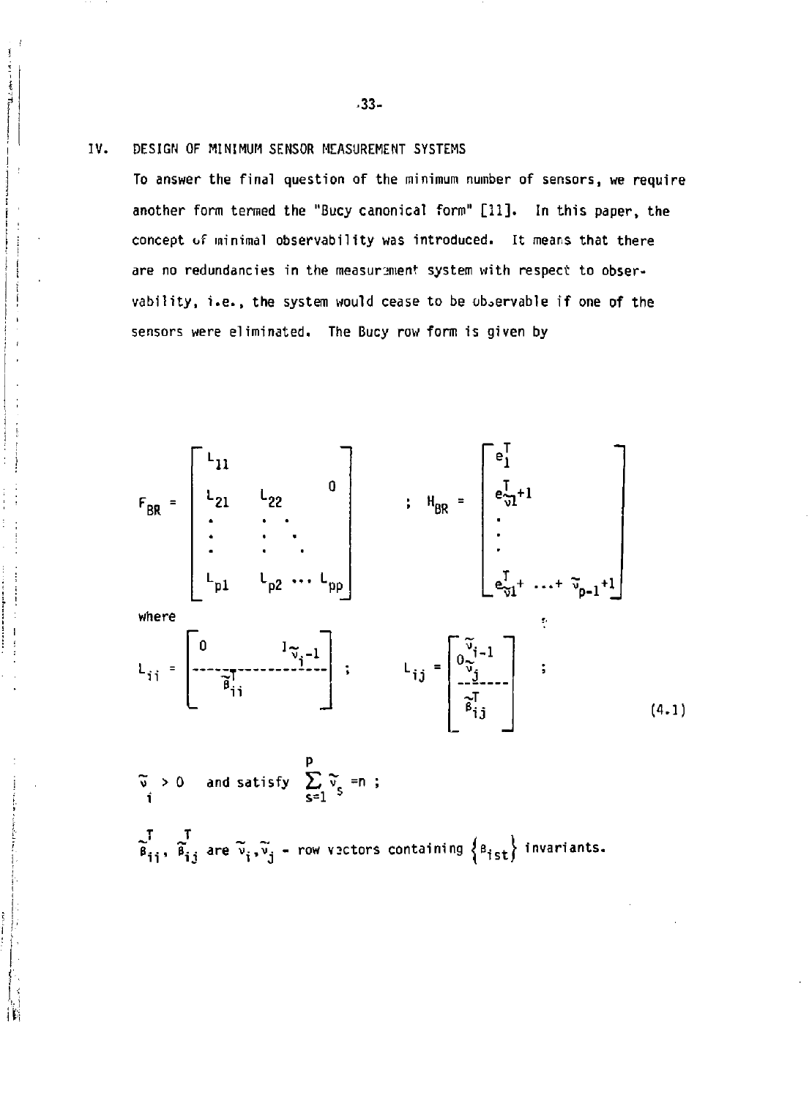## **IV. DESIGN OF MINIMUM SENSOR MEASUREMENT SYSTEMS**

**To answer the final question of the minimum number of sensors, we require another form termed the "Bucy canonical form" [11]. In this paper, the concept of minimal observability was introduced. It means that there are no redundancies in the measurement system with respect to observability, i.e., the system would cease to be observable if one of the sensors were eliminated. The Bucy row form is given by** 



**"? > 0 and satisfy £ v" =n ; s=l T T ji.., T^. are'v^.v'j - row v3ctors containing <Bi<sup>s</sup> t/ invariants.** 

**-33-**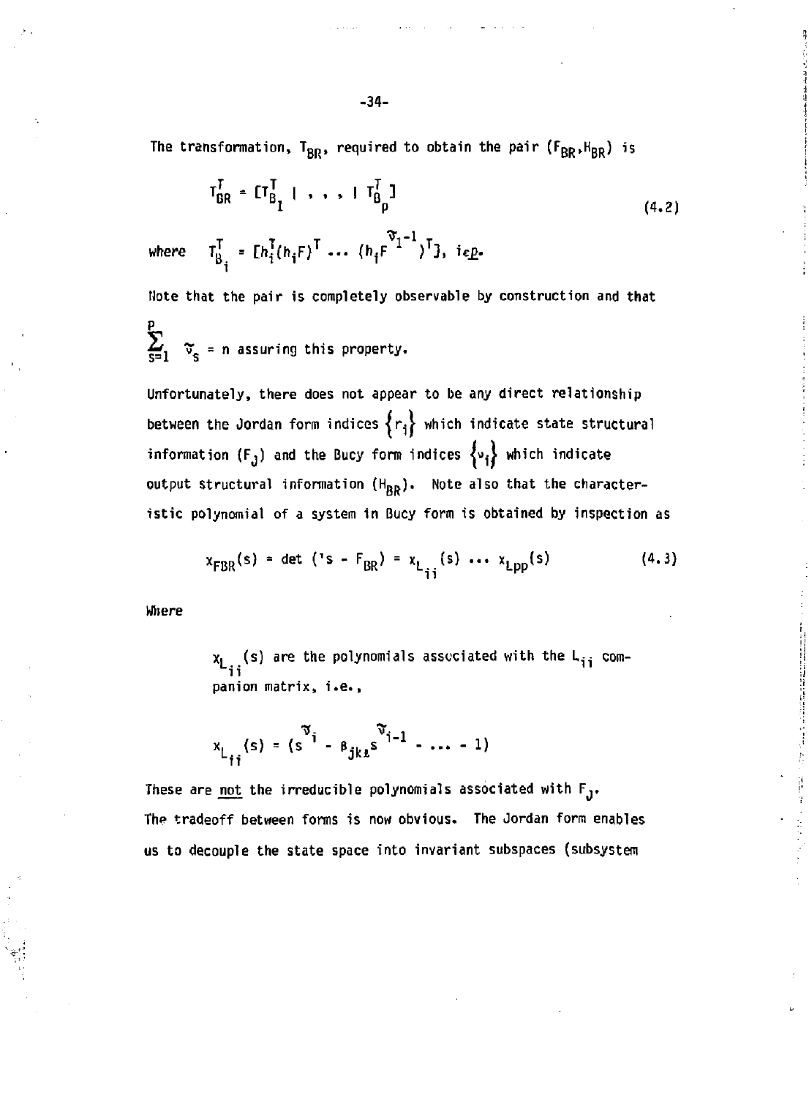The transformation,  $T_{BR}$ , required to obtain the pair  $(F_{BR}$ ,  $H_{BR}$ ) is

$$
T_{BR}^T = [T_{B_1}^T | , , , ]T_{B_p}^T]
$$
  
\nwhere  $T_R^T = [h_1^T (h_1 F)^T ... (h_1 F^{T_1-1})^T]$ ,  $i \in P$ . (4.2)

**Note that the pair is completely observable by construction and that** 

 $\sum_{s=1}^{p}$   $\tilde{\mathbf{v}}_s$  = n assuring this property.

**Unfortunately, there does not appear to be any direct relationship**  between the Jordan form indices  $\{r_i\}$  which indicate state structural information  $(F_j)$  and the Bucy form indices  $\{v_j\}$  which indicate output structural information (H<sub>RR</sub>). Note also that the character**istic polynomial of a system in Bucy form is obtained by inspection as** 

$$
x_{FBR}(s) = det ('s - F_{BR}) = x_{L_{ij}^1}(s) \cdots x_{Lpp}(s)
$$
 (4.3)

**Wliere** 

**x <sup>L</sup> (s) are the polynomials assuciated with the L-, comii panion matrix, i.e.,** 

$$
x_{L_{ij}}(s) = (s^{\tilde{\gamma}_1} - \beta_{jkt} s^{\tilde{\gamma}_{j-1}} - \dots - 1)
$$

**These are not the irreducible polynomials associated with Fj. The tradeoff between forms is now obvious. The Jordan form enables us to decouple the state space into invariant subspaces (subsystem**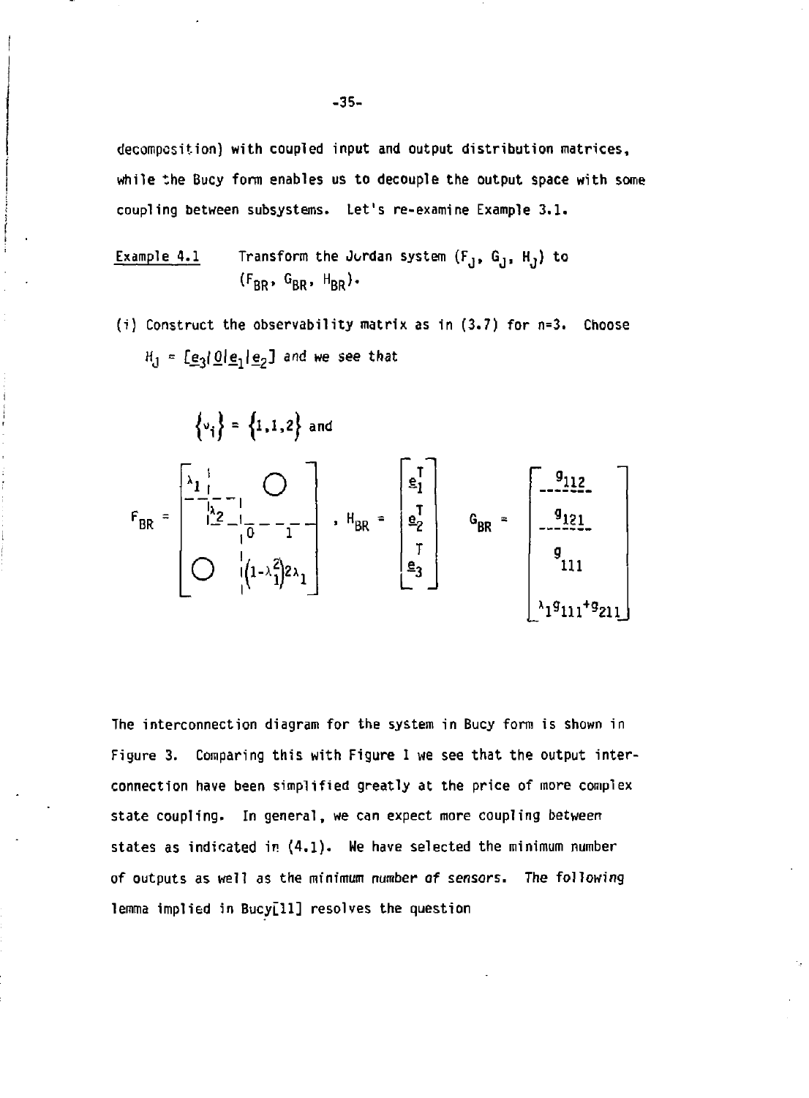decompcsition) with coupled input and output distribution matrices, while the Bucy form enables us to decouple the output space with some coupling between subsystems. Let's re-examine Example 3.1.

Example 4.1 Transform the Jordan system 
$$
(F_J, G_J, H_J)
$$
 to  $(F_{BR}, G_{BR}, H_{BR})$ .

(i) Construct the observability matrix as in (3.7) for n=3. Choose H = [e<sub>3</sub>|<u>O|e<sub>1</sub>|e<sub>2</sub>] and we see that</u>

$$
\begin{Bmatrix} v_{i} \end{Bmatrix} = \begin{Bmatrix} 1, 1, 2 \end{Bmatrix} \text{ and}
$$
  
\n
$$
F_{BR} = \begin{bmatrix} \frac{\lambda_{11}}{1} & \cdots & \frac{\lambda_{21}}{1} \\ \frac{\lambda_{21}}{1} & \cdots & \frac{\lambda_{21}}{1} \\ \vdots & \vdots & \ddots \\ \frac{\lambda_{21}}{1} & \frac{\lambda_{22}}{1} \\ \vdots & \vdots & \ddots \end{bmatrix}, H_{BR} = \begin{bmatrix} \frac{\epsilon_{1}}{1} \\ \frac{\epsilon_{1}}{2} \\ \frac{\epsilon_{2}}{2} \\ \vdots \\ \frac{\epsilon_{3}}{2} \end{bmatrix} \qquad G_{BR} = \begin{bmatrix} 9112 & \cdots & \frac{9112}{1} \\ \frac{9121}{1} \\ \frac{9111}{1} \\ \frac{111}{1} \\ \frac{111}{1} \\ \frac{111}{1} \\ \frac{111}{1} \\ \frac{111}{1} \\ \frac{111}{1} \\ \frac{111}{1} \\ \frac{111}{1} \\ \frac{111}{1} \\ \frac{111}{1} \\ \frac{111}{1} \\ \frac{111}{1} \\ \frac{111}{1} \\ \frac{111}{1} \\ \frac{111}{1} \\ \frac{111}{1} \\ \frac{111}{1} \\ \frac{111}{1} \\ \frac{111}{1} \\ \frac{111}{1} \\ \frac{111}{1} \\ \frac{111}{1} \\ \frac{111}{1} \\ \frac{111}{1} \\ \frac{111}{1} \\ \frac{111}{1} \\ \frac{111}{1} \\ \frac{111}{1} \\ \frac{111}{1} \\ \frac{111}{1} \\ \frac{111}{1} \\ \frac{111}{1} \\ \frac{111}{1} \\ \frac{111}{1} \\ \frac{111}{1} \\ \frac{111}{1} \\ \frac{111}{1} \\ \frac{111}{1} \\ \frac{111}{1} \\ \frac{111}{1} \\ \frac{111}{1} \\ \frac{111}{1} \\ \frac{111}{1} \\ \frac{111}{1} \\ \frac{111}{1} \\ \frac{111}{1} \\ \frac{111
$$

**The interconnection diagram for the system in Bucy form is shown in**  Figure 3. Comparing this with Figure 1 we see that the output inter**connection have been simplified greatly at the price of more complex state coupling. In general, we can expect more coupling between states as indicated in (4.1). We have selected the minimum number of outputs as well as the minimum number of sensors. The following lemma implied in Bucy[ll] resolves the question**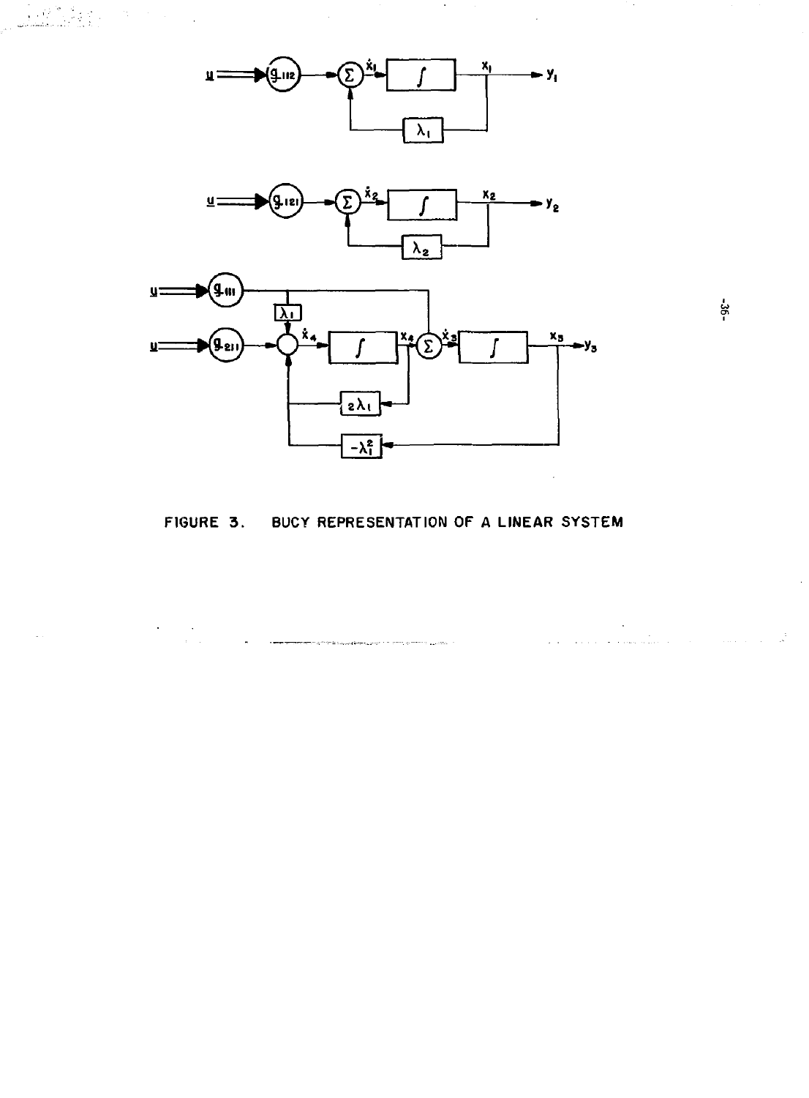$\sim 6\%$ i Parti

> $\frac{1}{2}$  ,  $\frac{1}{2}$  $\cdot$

 $\bar{\mathbf{r}}$ 



 $-36$ 

 $\mathcal{L}^{\text{max}}_{\text{max}}$  and  $\mathcal{L}^{\text{max}}_{\text{max}}$ 

المنابع المنابع المنابع المنابع المنابع المنابع المنابع المنابع المنابع المنابع المنابع المنابع المنابع المنابع<br>المنابع المنابع المنابع المنابع المنابع المنابع المنابع المنابع المنابع المنابع المنابع المنابع المنابع المنا

## FIGURE 3. BUCY REPRESENTATION OF A LINEAR SYSTEM

.<br>Engineasuakeeleen mortoon vallas ol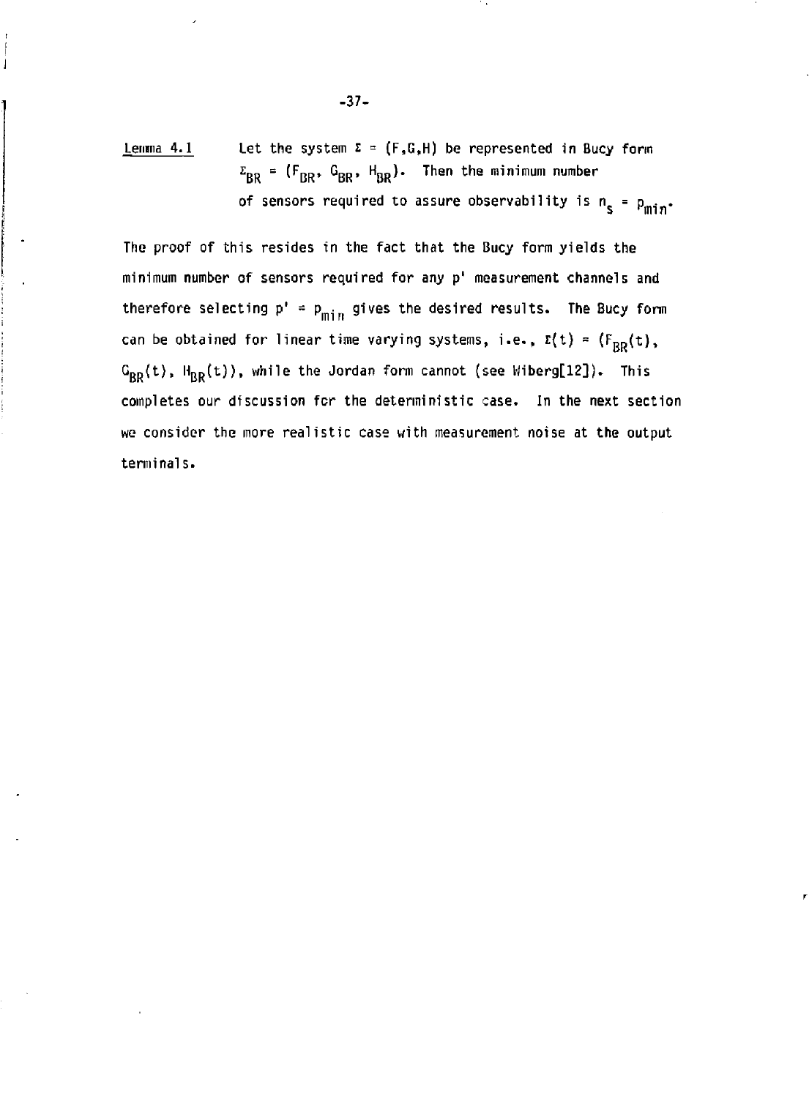Lemma 4.1 Let the system  $\Sigma = (F, G, H)$  be represented in Bucy form **£ RR <sup>=</sup> ^RR\* ^BR\* ^BR^\* ^ <sup>e</sup> <sup>n</sup> ^ e m i <sup>n</sup> i mun <sup>l</sup> number**  of sensors required to assure observability is  $n_s = p_{\min}$ .

**The proof of this resides in the fact that the Bucy form yields the minimum number of sensors required for any p' measurement channels and**  therefore selecting  $p' = p_{min}$  gives the desired results. The Bucy form can be obtained for linear time varying systems, i.e.,  $z(t) = (F_{BB}(t))$ ,  $G_{RR}(t)$ ,  $H_{RR}(t)$ ), while the Jordan form cannot (see Wiberg[12]). This **completes our discussion for the deterministic case. In the next section we consider the more realistic case with measurement noise at the output terminals.** 

**-37-**

 $\overline{1}$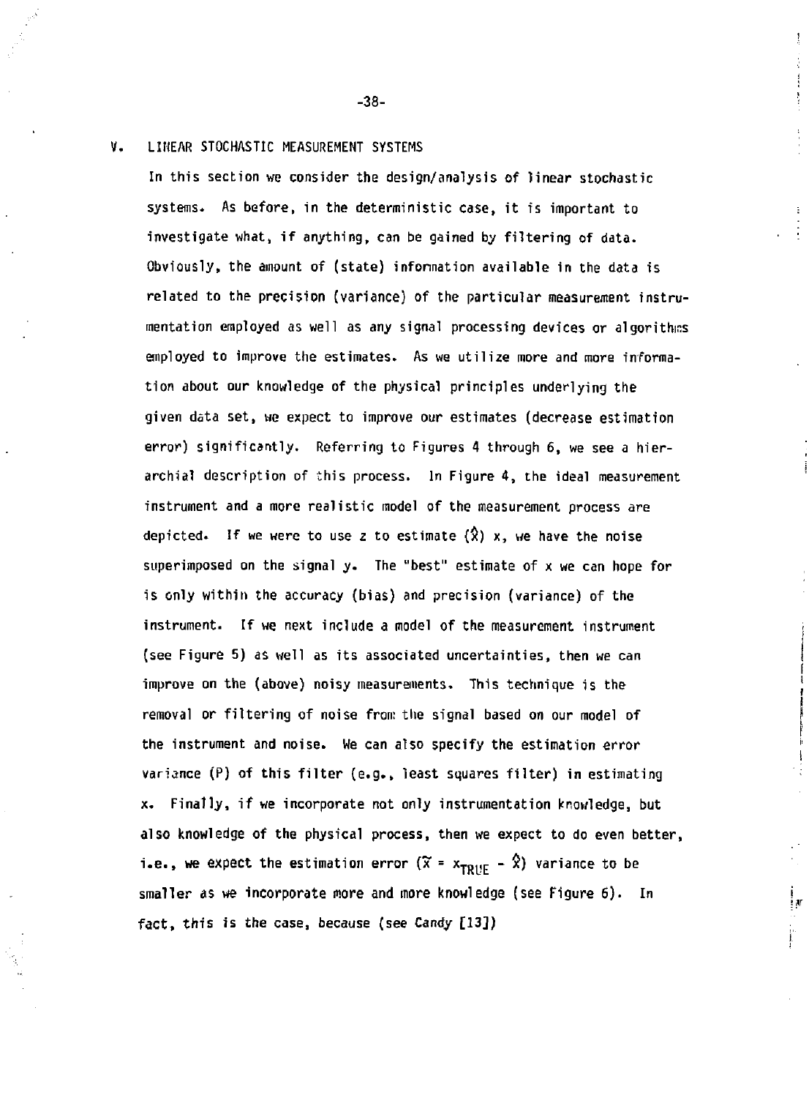#### **V, LINEAR STOCHASTIC MEASUREMENT SYSTEMS**

**In this section we consider the design/analysis of linear stochastic systems. As before, in the deterministic case, it is important to investigate what, if anything, can be gained by filtering of data. Obviously, the amount of (state) information available in the data is related to the precision (variance) of the particular measurement instrumentation employed as well as any signal processing devices or algorithms employed to improve the estimates. As we utilize more and more information about our knowledge of the physical principles underlying the given data set, we expect to improve our estimates (decrease estimation error) significantly. Referring to Figures 4 through 6, we see a hierarchial description of this process. In Figure 4, the ideal measurement instrument and a more realistic model of the measurement process are**  depicted. If we were to use z to estimate  $(\hat{x})$  x, we have the noise **superimposed on the signal y. The "best" estimate of x we can hope for is only within the accuracy (bias) and precision (variance) of the instrument. If we next include a model of the measurement instrument (see Figure 5) as well as its associated uncertainties, then we can improve on the (above) noisy measurements. This technique is the removal or filtering of noise from the signal based on our model of the instrument and noise. We can also specify the estimation error variance (P) of this filter (e.g., least squares filter) in estimating x. Finally, if we incorporate not only instrumentation knowledge, but also knowledge of the physical process, then we expect to do even better, i.e., we expect the estimation error**  $(\tilde{x} = x_{\text{TOHF}} - \hat{x})$  variance to be **smaller as we incorporate more and more knowledge (see Figure 6). In fact, this is the case, because (see Candy [13])** 

i ar

**-38-**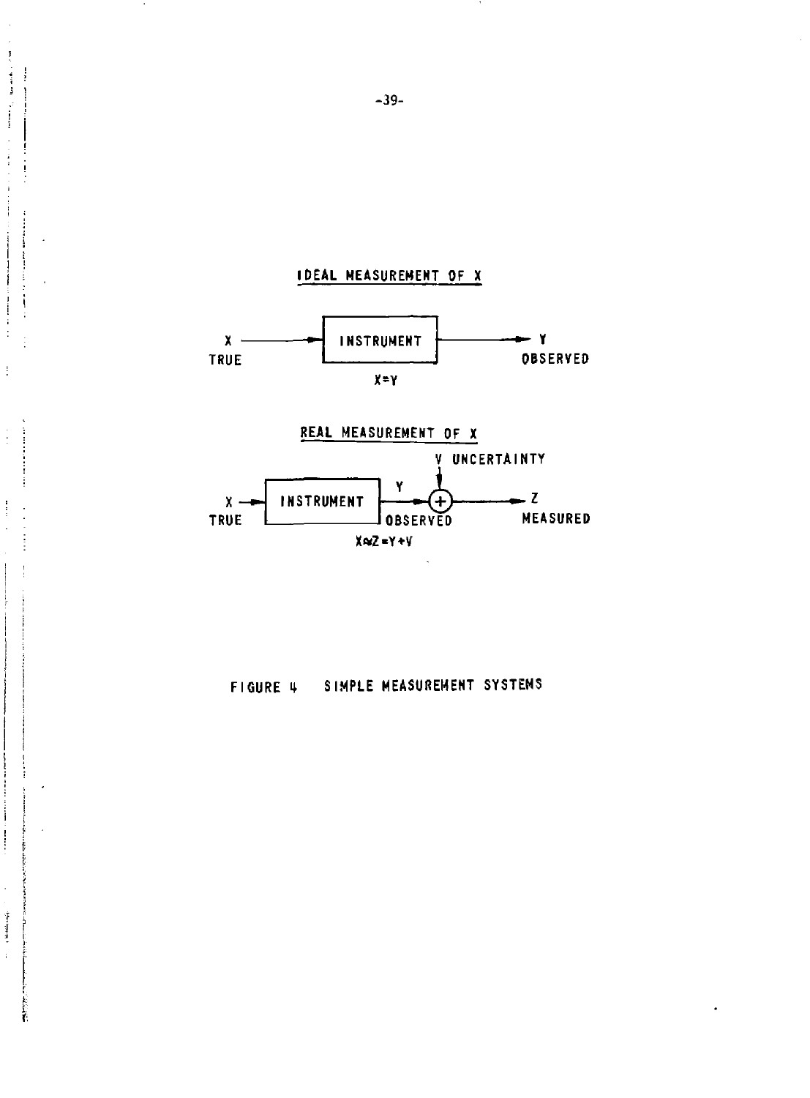

**IDEAL MEASUREMENT OF X** 



**FIGURE 1 SIMPLE MEASUREMENT SYSTEMS** 

 $\frac{3}{2}$  $\frac{1}{3}$  $\ddotsc$ 

ļ  $\mathbf{I}$ 

ŧ

ļ

Ť ļ Î.

î.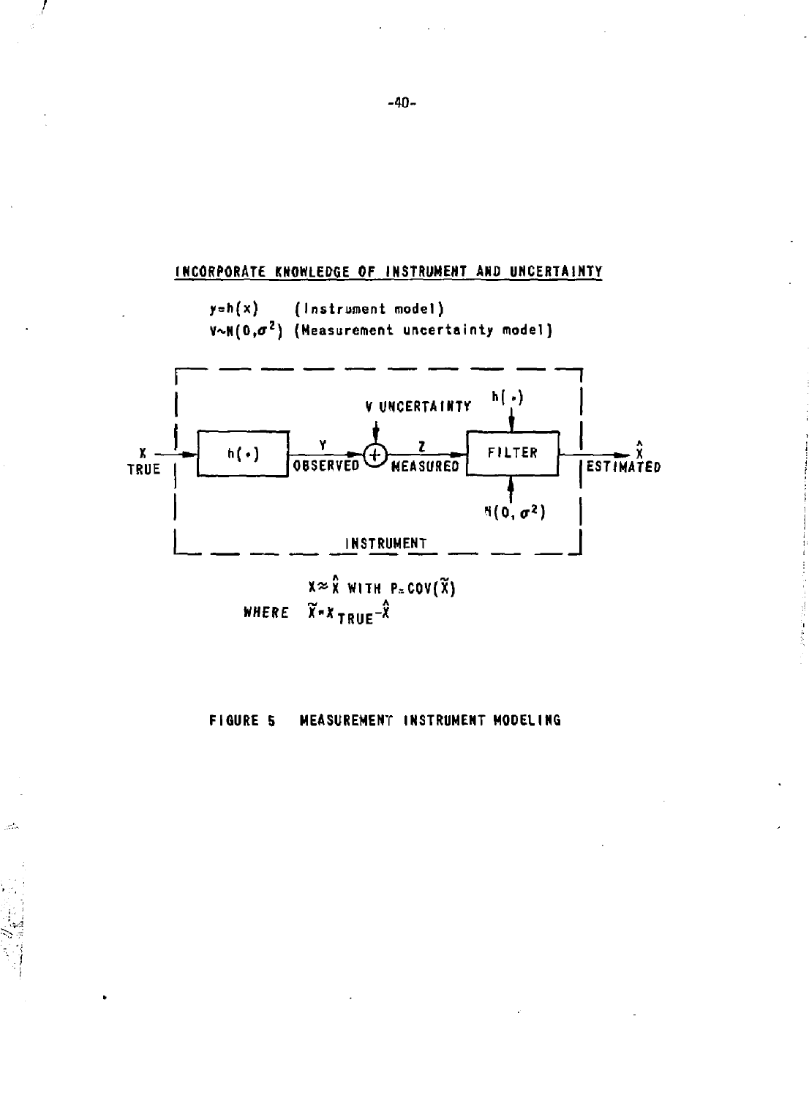

#### **FIGURE 5** MEASUREMENT INSTRUMENT MODELING

a).

 $-40-$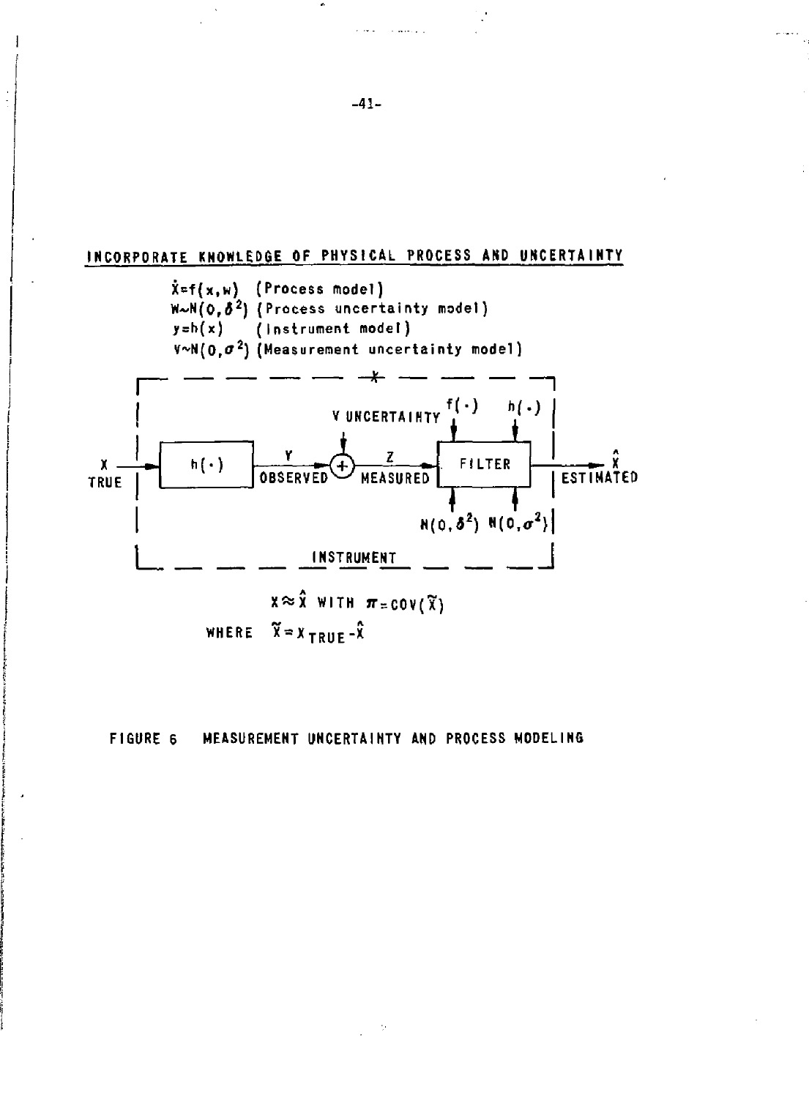



**-41-**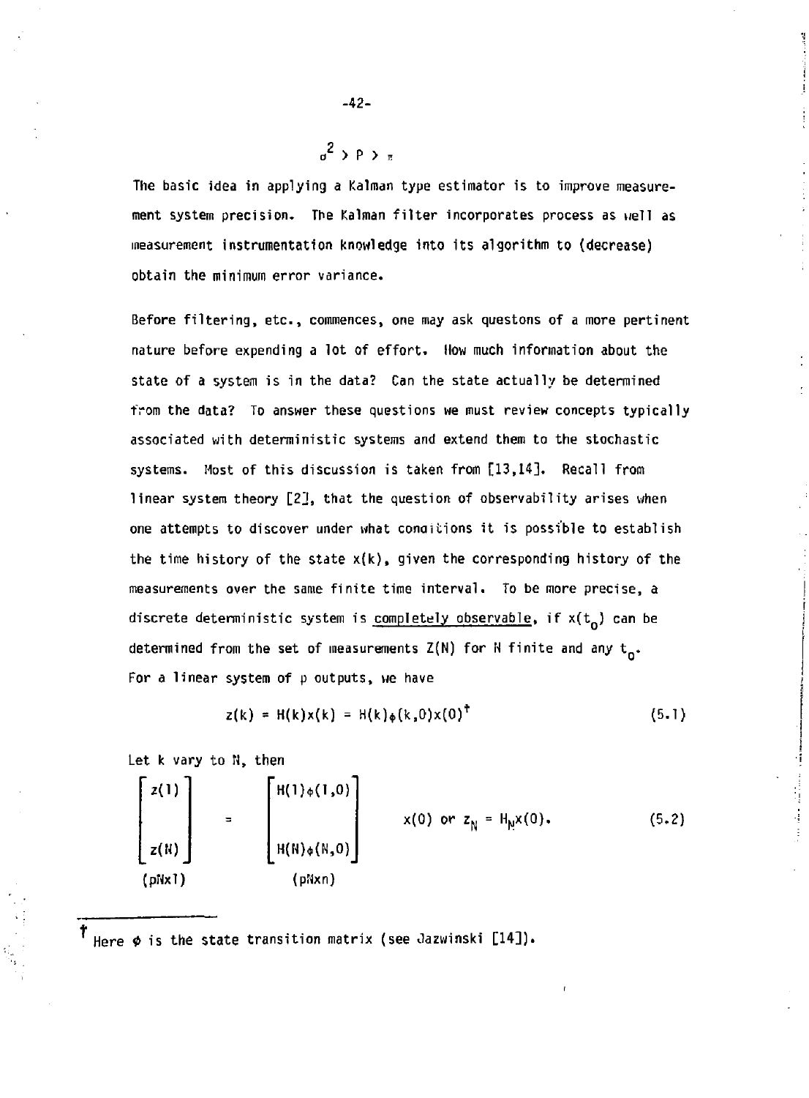**The basic idea in applying a Kalman type estimator is to improve measurement system precision. The Kalman filter incorporates process as well as measurement instrumentation knowledge into its algorithm to (decrease) obtain the minimum error variance.** 

**Before filtering, etc., commences, one may ask questons of a more pertinent nature before expending a lot of effort. How much information about the state of a system is in the data? Can the state actually be determined from the data? To answer these questions we must review concepts typically associated with deterministic systems and extend them to the stochastic systems. Most of this discussion is taken from [13,14]. Recall from linear system theory [2J, that the question of observability arises when one attempts to discover under what conaitions it is possible to establish the time history of the state x(k), given the corresponding history of the measurements over the same finite time interval. To be more precise, a**  discrete deterministic system is completely observable, if  $x(t_0)$  can be **determined from the set of measurements Z(N) for N finite and any t\_. For a linear system of p outputs, we have** 

$$
z(k) = H(k)x(k) = H(k)\phi(k,0)x(0)^T
$$
 (5.1)

**Let k vary to H, then** 

 $Z(1)$   $H(1)_{\phi}(1,0)$ z(N) | H(N)<sub>\$</sub>(N<sub>2</sub>O) (pNxl) (pNxn) **x(0) or z <sup>N</sup> = H<sup>N</sup> x(0). (5.2)** 

+ **Here \* is the state transition matrix (see Oazwinski [14]).** 

-42-

*a* > P > E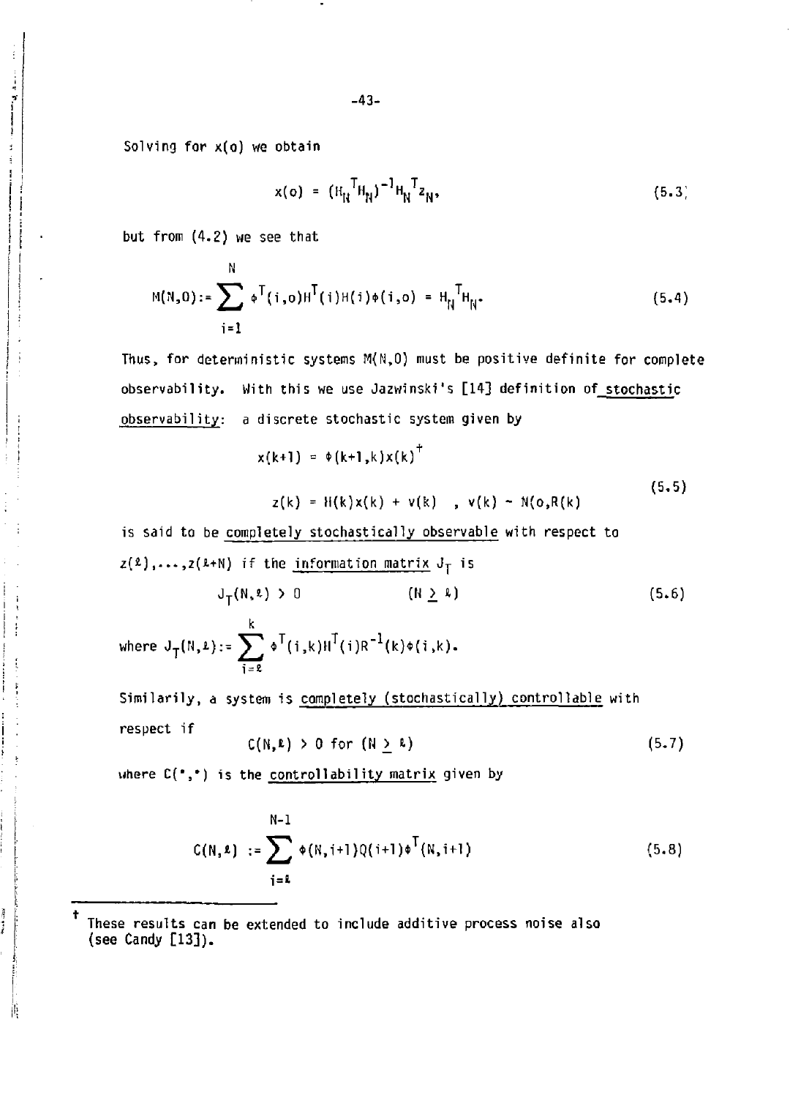Solving for x(o) we obtain

 $\frac{1}{2}$ 

j

j.

**Bank Ave** 

萬

$$
x(o) = (H_H^TH_H)^{-1}H_H^Tz_H,
$$
 (5.3)

but from (4.2) we see that

N

$$
M(N,0) := \sum_{i=1}^{N} \phi^{T}(i,0)H^{T}(i)H(i)\phi(i,0) = H_{N}^{T}H_{N}.
$$
 (5.4)

Thus, for deterministic systems  $M(N,0)$  must be positive definite for complete observability. With this we use Jazwinski's [14] definition of stochastic observability: a discrete stochastic system given by

$$
x(k+1) = \phi(k+1, k)x(k)^{\top}
$$
  
z(k) = H(k)x(k) + v(k) , v(k) - N(o,R(k)) (5.5)

**is said to be completely stochastically observable with respect to**   $z(2), \ldots, z(k+N)$  if the information matrix  $J_T$  is

$$
J_{\mathsf{T}}(N,\ell) > 0 \qquad \qquad (N \geq \ell) \qquad (5.6)
$$

**k where JT(N,i):= Y ^ \*<sup>T</sup> (i ,k)HT(i)R"1(k)\*(i ,k). i=\*** 

Similarily, a system is completely (stochastically) controllable with respect if

$$
C(N, k) > 0 \text{ for } (N \geq k) \tag{5.7}
$$

where  $C(\bullet, \bullet)$  is the controllability matrix given by

$$
C(N, \ell) := \sum_{i=1}^{N-1} \phi(N, i+1) Q(i+1) \phi^{T}(N, i+1)
$$
 (5.8)

<sup>t</sup>**These results can be extended to include additive process noise also (see Candy [13]).**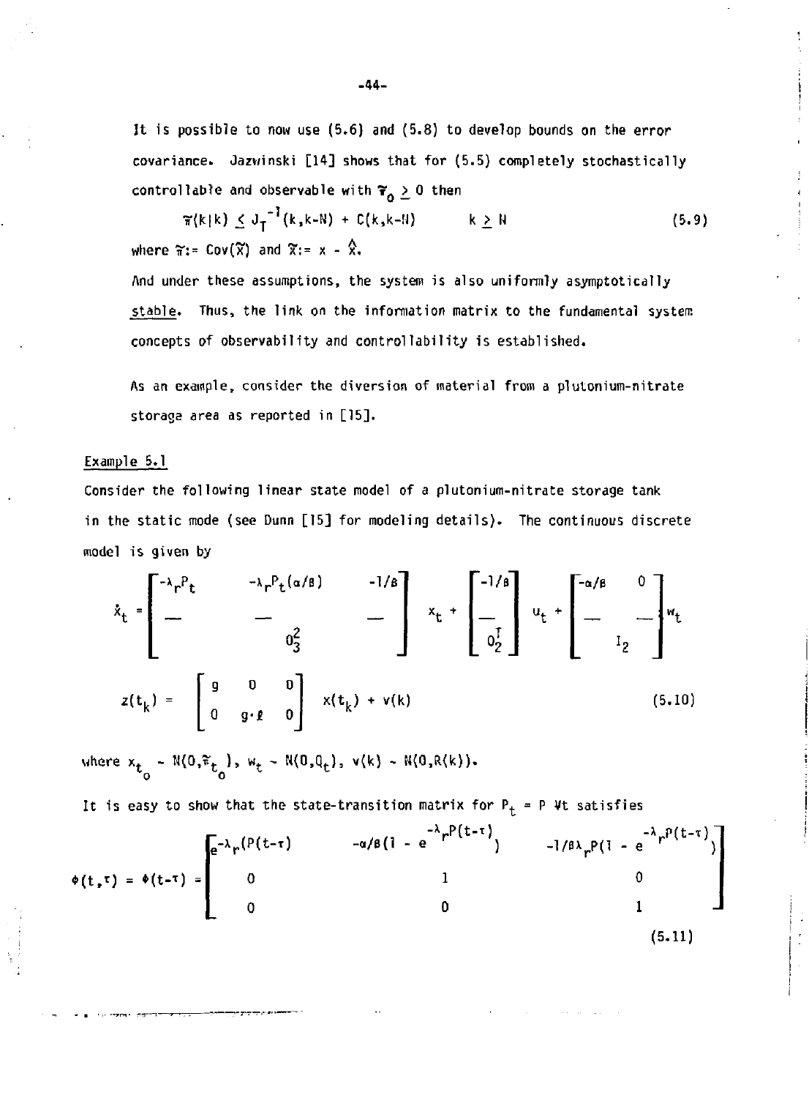**It is possible to now use (5.6) and (5.8) to develop bounds on the error covariance. Jazwinski [14] shows that for (5.5) completely stochastically controllable and observable with**  $\mathbf{\tilde{\tau}}_{0} \geq 0$  **then** 

 $\tilde{\tau}(k|k) \le J_T^{-1}(k,k-N) + C(k,k-1)$   $k \ge N$  (5.9) where  $\widetilde{\pi}$ := Cov( $\widetilde{\chi}$ ) and  $\widetilde{\chi}$ := x -  $\hat{\chi}$ ,

**And under these assumptions, the system is also uniformly asymptotically stable. Thus, the link on the information matrix to the fundamental system concepts of observability and controllability is established.** 

**As an example, consider the diversion of material from a plutonium-nitrate storage area as reported in [15].** 

#### **Example 5.1**

**Consider the following linear state model of a plutonium-nitrate storage tank in the static mode (see Dunn [15] for modeling details). The continuous discrete model is given by** 

$$
\dot{x}_{t} = \begin{bmatrix} -\lambda_{r} P_{t} & -\lambda_{r} P_{t}(\alpha/\beta) & -1/\beta \\ - & - & - \\ 0_{3}^{2} & - \end{bmatrix} x_{t} + \begin{bmatrix} -1/\beta \\ - \\ 0_{2}^{T} \end{bmatrix} u_{t} + \begin{bmatrix} -\alpha/\beta & 0 \\ - \\ 0_{2}^{T} \end{bmatrix} u_{t}
$$
  

$$
z(t_{k}) = \begin{bmatrix} g & 0 & 0 \\ 0 & g \cdot g & 0 \end{bmatrix} x(t_{k}) + v(k)
$$
 (5.10)

**where x <sup>t</sup> - N(0,\*t ) , w, ~ N(0,Q<sup>t</sup> ), v(k) - M(0,R(k)). o o** 

It is easy to show that the state-transition matrix for  $P_t = P Vt$  satisfies

-λ<sub>ε</sub> P(t-τ)  $-a/B(1 - e^{-\lambda}r^{P(L-1)})$   $-1/B\lambda_{\mu}P(1 - e^{-\lambda}r^{P(L-1)})$  $\bar{a}$ - $\lambda_{\mu}$ (P(t- $\tau$ ) 0 0 **\*(t,t ) = \*(t-T )**  O 0 1 (5.11)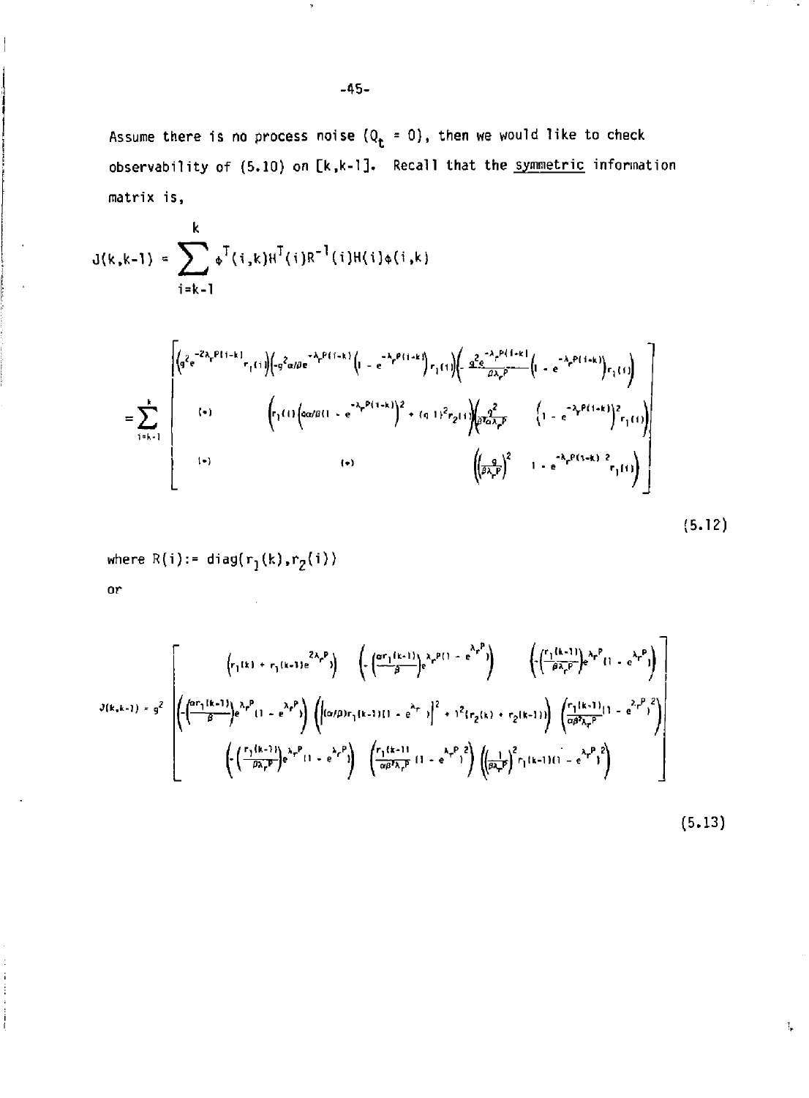**Assume there is no process noise {Qt = 0) , then we would like to check observability of (5.10) on [k,k-l]. Recall that the symmetric information matrix is,** 

γ.

 $\mathbf{f}_\bullet$ 

$$
J(k,k-1) = \sum_{i=k-1}^{k} \phi^{T}(i,k)H^{T}(i)R^{-1}(i)H(i)\phi(i,k)
$$

l

$$
= \sum_{i=k+1}^{k} \left[ \begin{array}{ccc} \left( q^{2} e^{-2\lambda_{i} P(i-k)} r_{i}(i) \left( q^{2} \alpha/\rho e^{-\lambda_{i} P(i-k)} \left( 1 - e^{-\lambda_{i} P(i-k)} \right) r_{i}(i) \right) \left( 1 - e^{-\lambda_{i} P(i-k)} \left( 1 - e^{-\lambda_{i} P(i-k)} \right) r_{i}(i) \right) \right) \\ & \left( r_{i}(i) \left( \alpha/\rho(i) - e^{-\lambda_{i} P(i-k)} \right)^{2} + (q+1)^{2} r_{2}(i) \left( \rho \frac{q^{2}}{\rho^{2} \alpha \lambda_{i} P} - \left( 1 - e^{-\lambda_{i} P(i-k)} \right)^{2} r_{i}(i) \right) \right) \right] \\ & \left( r_{i} \right) & \left( r_{i} \right) & \left( r_{i} \right) & \left( \left( \rho \frac{q}{\rho \lambda_{i} P} \right)^{2} - 1 - e^{-\lambda_{i} P(i-k)} \right) r_{i}(i) \right) \end{array} \right]
$$
(5.12)

**where R(i):= diagfrj (k) .^{i))** 

$$
J(k,k-1) = g^{2} \left[ \left( \frac{\left( r_{1}(k) + r_{1}(k-1)e^{2\lambda_{p}P} \right) \right) \left( \left( \frac{\left( \alpha r_{1}(k-1) \right) e^{\lambda_{p}P(1 - e^{\lambda_{p}P})} \right) - \left( \left( \frac{r_{1}(k-1) \right) e^{\lambda_{p}P(1 - e^{\lambda_{p}P})}}{\beta \lambda_{p}P(1 - e^{\lambda_{p}P})} \right) \right) \right] \right]
$$
  

$$
J(k,k-1) = g^{2} \left[ \left( \frac{\left( \alpha r_{1}(k-1) \right) e^{\lambda_{p}P} (1 - e^{\lambda_{p}P}) \right) \left( \left| (\alpha/\beta) r_{1}(k-1) (1 - e^{\lambda_{p}P}) \right|^{2} + 1^{2} \left( r_{2}(k) + r_{2}(k-1) \right) \right) \left( \frac{r_{1}(k-1) (1 - e^{\lambda_{p}P})^{2}}{\alpha \beta \lambda_{p}P} \right) \right] \right]
$$
  

$$
\left( \left( \frac{r_{1}(k-1) e^{\lambda_{p}P} (1 - e^{\lambda_{p}P})}{\beta \lambda_{p}P} \right) e^{\lambda_{p}P(1 - e^{\lambda_{p}P})} \right) \left( \frac{r_{1}(k-1) (1 - e^{\lambda_{p}P})^{2}}{\alpha \beta \lambda_{p}P} \right) \left( \left( \frac{1}{\beta \lambda_{p}P} \right)^{2} r_{1}(k-1) (1 - e^{\lambda_{p}P})^{2} \right) \right]
$$
  

$$
\tag{5.13}
$$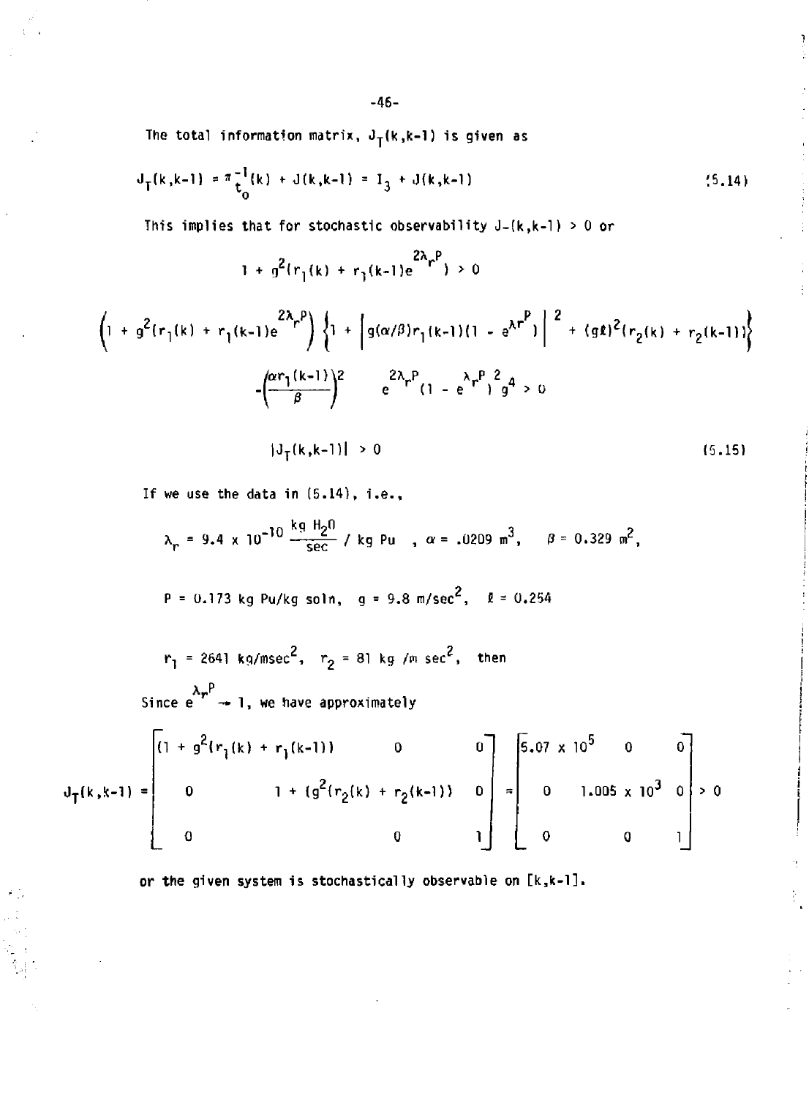The total information matrix,  $J_T(k,k-1)$  is given as

$$
J_{T}(k,k-1) = \pi \frac{1}{t_0}(k) + J(k,k-1) = I_3 + J(k,k-1)
$$
\n(5.14)

**This implies that for stochastic observability J-(k,k-l)** *>* **0 or** 

$$
1 + g^{2}(r_{1}(k) + r_{1}(k-1)e^{2\lambda}r^{p}) > 0
$$

$$
\left(1 + g^{2}(r_{1}(k) + r_{1}(k-1)e^{2\lambda_{r}P})\right)\left\{1 + \left[g(\alpha/\beta)r_{1}(k-1)(1 - e^{\lambda r^{P}})\right]^{2} + (g\ell)^{2}(r_{2}(k) + r_{2}(k-1))\right\}
$$

$$
-\left(\frac{\alpha r_{1}(k-1)}{\beta}\right)^{2} = e^{2\lambda_{r}P}(1 - e^{\lambda_{r}P})^{2}g^{4} > 0
$$

 $|J_T(k,k-1)| > 0$ (5.15) þ

ŧ.

If we use the data in  $(5.14)$ , i.e.,

 $\tilde{\sigma}(\tilde{\zeta})$ 

$$
\lambda_r = 9.4 \times 10^{-10} \frac{\text{kg H}_2\text{0}}{\text{sec}} / \text{kg Pu} , \alpha = .0209 \text{ m}^3, \beta = 0.329 \text{ m}^2,
$$

$$
P = 0.173
$$
 kg Pu/kg soln, g = 9.8 m/sec<sup>2</sup>,  $l = 0.254$ 

 $2 - r = 91 \text{ kg/m} \text{ cm}^2$  $r_1$  = 2641 kg/msec ,  $r_2$  = 81 kg /m sec , then Since  $e^{ \lambda_{\mathbf{r}}^{\mathbf{p}}}\rightarrow 1$ , we have approximately

$$
J_{T}(k,k-1) = \begin{bmatrix} 1 + g^{2}(r_{1}(k) + r_{1}(k-1)) & 0 & 0 \ 0 & 1 + (g^{2}(r_{2}(k) + r_{2}(k-1))) & 0 \ 0 & 0 & 1 \end{bmatrix} = \begin{bmatrix} 5.07 \times 10^{5} & 0 & 0 \ 0 & 1.005 \times 10^{3} & 0 \ 0 & 0 & 1 \end{bmatrix} > 0
$$

**or the given system is stochastically observable on [k,k-l].** 

**-46-**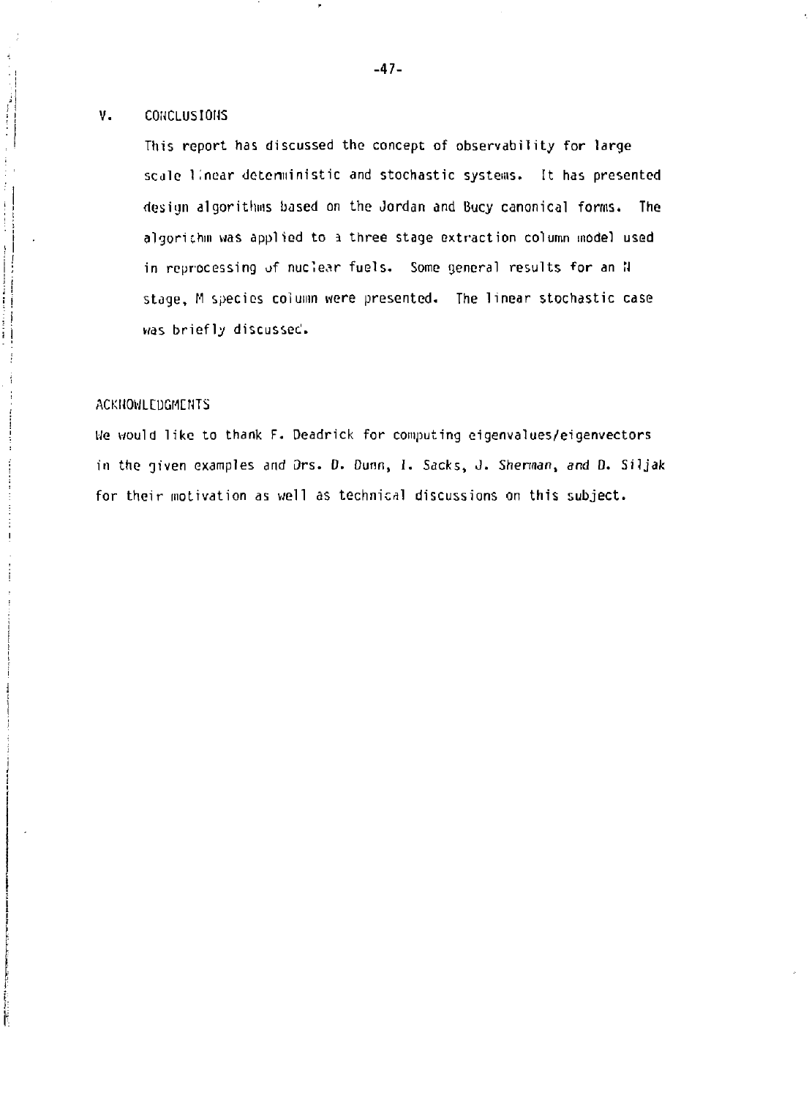#### V. CONCLUSIONS

 $\begin{array}{c} \mathbf{i} \\ \mathbf{j} \\ \mathbf{k} \end{array}$ 

 $\vert$  ! j  $\frac{1}{2}$ 

This report has discussed the concept of observability for large scale linear deterministic and stochastic systems. It has presented design algorithms based on the Jordan and Bucy canonical forms. The algori chin was applied to a three stage extraction column model used in reprocessing of nuclear fuels. Some general results for an N stage, M species column were presented. The linear stochastic case was briefly discussec'.

#### ACKNOWLEDGMENTS

Ue would like to thank F. Deadrick for computing eigenvalues/eigenvectors in the given examples and Ors. D. Dunn, I. Sacks, J. Sherman, and D. Siljak for their motivation as well as technical discussions on this subject.

Ï